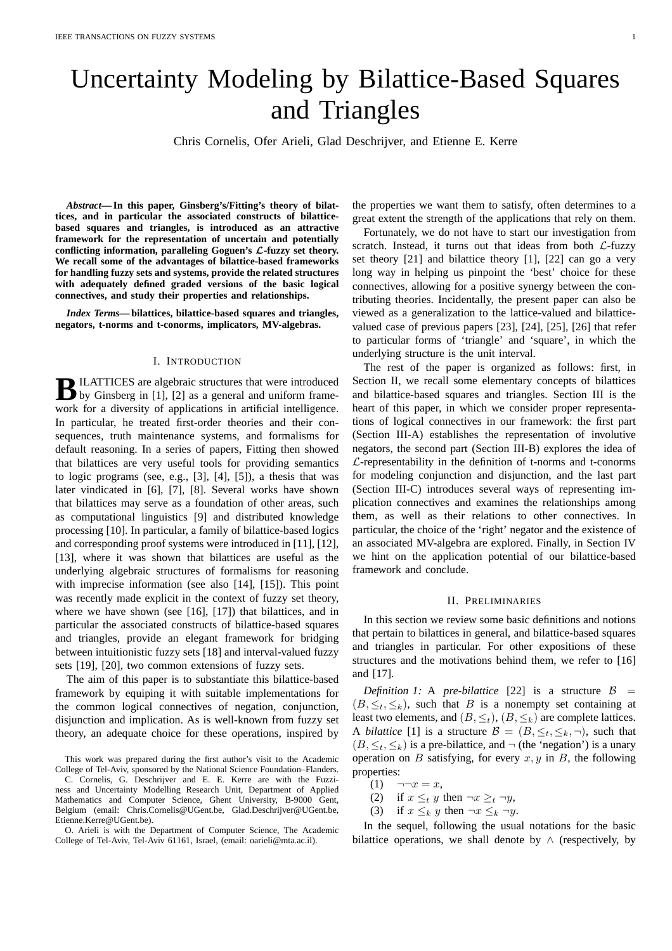# Uncertainty Modeling by Bilattice-Based Squares and Triangles

Chris Cornelis, Ofer Arieli, Glad Deschrijver, and Etienne E. Kerre

*Abstract***— In this paper, Ginsberg's/Fitting's theory of bilattices, and in particular the associated constructs of bilatticebased squares and triangles, is introduced as an attractive framework for the representation of uncertain and potentially conflicting information, paralleling Goguen's** L**-fuzzy set theory. We recall some of the advantages of bilattice-based frameworks for handling fuzzy sets and systems, provide the related structures with adequately defined graded versions of the basic logical connectives, and study their properties and relationships.**

*Index Terms***— bilattices, bilattice-based squares and triangles, negators, t-norms and t-conorms, implicators, MV-algebras.**

#### I. INTRODUCTION

**B** ILATTICES are algebraic structures that were introduced<br>by Ginsberg in [1], [2] as a general and uniform frame-ILATTICES are algebraic structures that were introduced work for a diversity of applications in artificial intelligence. In particular, he treated first-order theories and their consequences, truth maintenance systems, and formalisms for default reasoning. In a series of papers, Fitting then showed that bilattices are very useful tools for providing semantics to logic programs (see, e.g., [3], [4], [5]), a thesis that was later vindicated in [6], [7], [8]. Several works have shown that bilattices may serve as a foundation of other areas, such as computational linguistics [9] and distributed knowledge processing [10]. In particular, a family of bilattice-based logics and corresponding proof systems were introduced in [11], [12], [13], where it was shown that bilattices are useful as the underlying algebraic structures of formalisms for reasoning with imprecise information (see also [14], [15]). This point was recently made explicit in the context of fuzzy set theory, where we have shown (see [16], [17]) that bilattices, and in particular the associated constructs of bilattice-based squares and triangles, provide an elegant framework for bridging between intuitionistic fuzzy sets [18] and interval-valued fuzzy sets [19], [20], two common extensions of fuzzy sets.

The aim of this paper is to substantiate this bilattice-based framework by equiping it with suitable implementations for the common logical connectives of negation, conjunction, disjunction and implication. As is well-known from fuzzy set theory, an adequate choice for these operations, inspired by

This work was prepared during the first author's visit to the Academic College of Tel-Aviv, sponsored by the National Science Foundation–Flanders. C. Cornelis, G. Deschrijver and E. E. Kerre are with the Fuzzi-

ness and Uncertainty Modelling Research Unit, Department of Applied Mathematics and Computer Science, Ghent University, B-9000 Gent, Belgium (email: Chris.Cornelis@UGent.be, Glad.Deschrijver@UGent.be, Etienne.Kerre@UGent.be).

the properties we want them to satisfy, often determines to a great extent the strength of the applications that rely on them.

Fortunately, we do not have to start our investigation from scratch. Instead, it turns out that ideas from both  $\mathcal{L}$ -fuzzy set theory [21] and bilattice theory [1], [22] can go a very long way in helping us pinpoint the 'best' choice for these connectives, allowing for a positive synergy between the contributing theories. Incidentally, the present paper can also be viewed as a generalization to the lattice-valued and bilatticevalued case of previous papers [23], [24], [25], [26] that refer to particular forms of 'triangle' and 'square', in which the underlying structure is the unit interval.

The rest of the paper is organized as follows: first, in Section II, we recall some elementary concepts of bilattices and bilattice-based squares and triangles. Section III is the heart of this paper, in which we consider proper representations of logical connectives in our framework: the first part (Section III-A) establishes the representation of involutive negators, the second part (Section III-B) explores the idea of  $L$ -representability in the definition of t-norms and t-conorms for modeling conjunction and disjunction, and the last part (Section III-C) introduces several ways of representing implication connectives and examines the relationships among them, as well as their relations to other connectives. In particular, the choice of the 'right' negator and the existence of an associated MV-algebra are explored. Finally, in Section IV we hint on the application potential of our bilattice-based framework and conclude.

## II. PRELIMINARIES

In this section we review some basic definitions and notions that pertain to bilattices in general, and bilattice-based squares and triangles in particular. For other expositions of these structures and the motivations behind them, we refer to [16] and [17].

*Definition 1:* A *pre-bilattice* [22] is a structure  $\beta$  =  $(B, \leq_t, \leq_k)$ , such that B is a nonempty set containing at least two elements, and  $(B, \leq_t)$ ,  $(B, \leq_k)$  are complete lattices. A *bilattice* [1] is a structure  $\mathcal{B} = (B, \leq_t, \leq_k, \neg)$ , such that  $(B, \leq_t, \leq_k)$  is a pre-bilattice, and  $\neg$  (the 'negation') is a unary operation on  $B$  satisfying, for every  $x, y$  in  $B$ , the following properties:

- (1)  $\neg\neg x = x,$
- (2) if  $x \leq_t y$  then  $\neg x \geq_t \neg y$ ,
- (3) if  $x \leq_k y$  then  $\neg x \leq_k \neg y$ .

In the sequel, following the usual notations for the basic bilattice operations, we shall denote by  $\land$  (respectively, by

O. Arieli is with the Department of Computer Science, The Academic College of Tel-Aviv, Tel-Aviv 61161, Israel, (email: oarieli@mta.ac.il).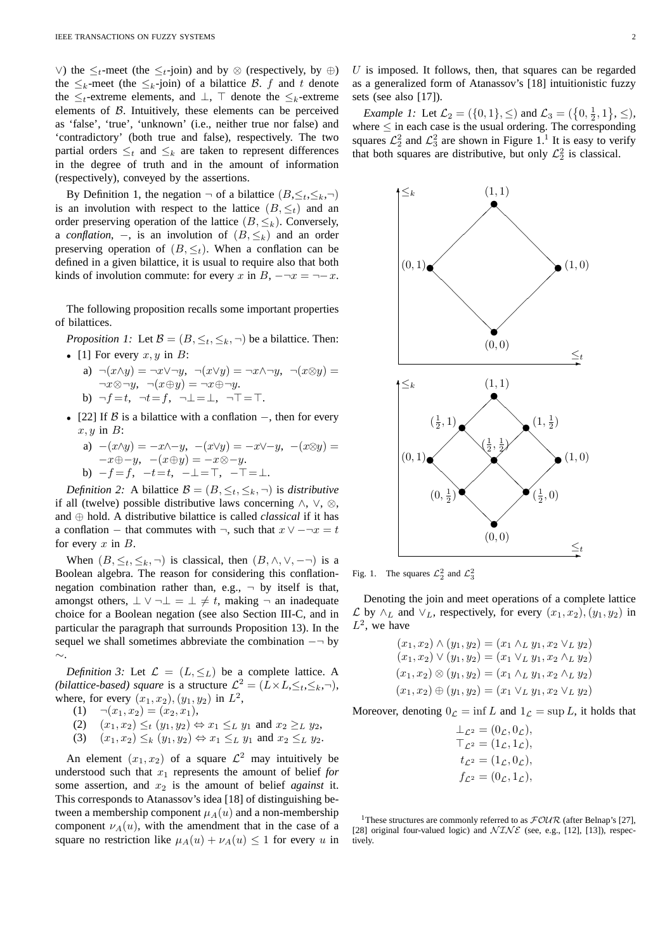∨) the  $\leq_t$ -meet (the  $\leq_t$ -join) and by ⊗ (respectively, by ⊕) the  $\leq_k$ -meet (the  $\leq_k$ -join) of a bilattice B. f and t denote the  $\leq_t$ -extreme elements, and  $\perp$ ,  $\top$  denote the  $\leq_k$ -extreme elements of  $B$ . Intuitively, these elements can be perceived as 'false', 'true', 'unknown' (i.e., neither true nor false) and 'contradictory' (both true and false), respectively. The two partial orders  $\leq_t$  and  $\leq_k$  are taken to represent differences in the degree of truth and in the amount of information (respectively), conveyed by the assertions.

By Definition 1, the negation  $\neg$  of a bilattice  $(B, \leq_t, \leq_k, \neg)$ is an involution with respect to the lattice  $(B, \leq_t)$  and an order preserving operation of the lattice  $(B, \leq_k)$ . Conversely, a *conflation*,  $-$ , is an involution of  $(B, \leq_k)$  and an order preserving operation of  $(B, \leq_t)$ . When a conflation can be defined in a given bilattice, it is usual to require also that both kinds of involution commute: for every x in B,  $-\neg x = \neg -x$ .

The following proposition recalls some important properties of bilattices.

*Proposition 1:* Let  $\mathcal{B} = (B, \leq_t, \leq_k, \neg)$  be a bilattice. Then: • [1] For every  $x, y$  in  $B$ :

- a)  $\neg(x \land y) = \neg x \lor \neg y, \neg(x \lor y) = \neg x \land \neg y, \neg(x \otimes y) =$  $\neg x \otimes \neg y$ ,  $\neg(x \oplus y) = \neg x \oplus \neg y$ . b)  $\neg f = t$ ,  $\neg t = f$ ,  $\neg \bot = \bot$ ,  $\neg \top = \top$ .
- [22] If  $\beta$  is a bilattice with a conflation –, then for every  $x, y$  in  $B$ :
	- a)  $-(x\wedge y) = -x\wedge -y$ ,  $-(x\vee y) = -x\vee -y$ ,  $-(x\otimes y) =$  $-x\oplus-y, -(x\oplus y) = -x\otimes-y.$ b)  $-f=f$ ,  $-t=t$ ,  $-\perp$ = $\top$ ,  $-\top$ = $\perp$ .

*Definition 2:* A bilattice  $\mathcal{B} = (B, \leq_t, \leq_k, \neg)$  is *distributive* if all (twelve) possible distributive laws concerning ∧, ∨, ⊗, and ⊕ hold. A distributive bilattice is called *classical* if it has a conflation – that commutes with  $\neg$ , such that  $x \lor -\neg x = t$ for every  $x$  in  $B$ .

When  $(B, \leq_t, \leq_k, \neg)$  is classical, then  $(B, \wedge, \vee, \neg \neg)$  is a Boolean algebra. The reason for considering this conflationnegation combination rather than, e.g.,  $\neg$  by itself is that, amongst others,  $\bot \vee \neg \bot = \bot \neq t$ , making  $\neg$  an inadequate choice for a Boolean negation (see also Section III-C, and in particular the paragraph that surrounds Proposition 13). In the sequel we shall sometimes abbreviate the combination  $-\neg$  by ∼.

*Definition 3:* Let  $\mathcal{L} = (L, \leq_L)$  be a complete lattice. A *(bilattice-based) square* is a structure  $\mathcal{L}^2 = (L \times L, \leq_t, \leq_k, \neg)$ , where, for every  $(x_1, x_2), (y_1, y_2)$  in  $L^2$ ,

- (1)  $\neg(x_1, x_2) = (x_2, x_1),$
- (2)  $(x_1, x_2) \leq_t (y_1, y_2) \Leftrightarrow x_1 \leq_L y_1$  and  $x_2 \geq_L y_2$ ,
- (3)  $(x_1, x_2) \leq_k (y_1, y_2) \Leftrightarrow x_1 \leq_L y_1$  and  $x_2 \leq_L y_2$ .

An element  $(x_1, x_2)$  of a square  $\mathcal{L}^2$  may intuitively be understood such that  $x_1$  represents the amount of belief *for* some assertion, and  $x_2$  is the amount of belief *against* it. This corresponds to Atanassov's idea [18] of distinguishing between a membership component  $\mu_A(u)$  and a non-membership component  $\nu_A(u)$ , with the amendment that in the case of a square no restriction like  $\mu_A(u) + \nu_A(u) \leq 1$  for every u in  $U$  is imposed. It follows, then, that squares can be regarded as a generalized form of Atanassov's [18] intuitionistic fuzzy sets (see also [17]).

*Example 1:* Let  $\mathcal{L}_2 = (\{0, 1\}, \le)$  and  $\mathcal{L}_3 = (\{0, \frac{1}{2}, 1\}, \le)$ , where  $\leq$  in each case is the usual ordering. The corresponding squares  $\mathcal{L}_2^2$  and  $\mathcal{L}_3^2$  are shown in Figure 1.<sup>1</sup> It is easy to verify that both squares are distributive, but only  $\mathcal{L}_2^2$  is classical.



Fig. 1. The squares  $\mathcal{L}_2^2$  and  $\mathcal{L}_3^2$ 

Denoting the join and meet operations of a complete lattice  $\mathcal L$  by ∧<sub>L</sub> and ∨<sub>L</sub>, respectively, for every  $(x_1, x_2), (y_1, y_2)$  in  $L^2$ , we have

$$
(x_1, x_2) \land (y_1, y_2) = (x_1 \land_L y_1, x_2 \lor_L y_2)
$$
  
\n
$$
(x_1, x_2) \lor (y_1, y_2) = (x_1 \lor_L y_1, x_2 \land_L y_2)
$$
  
\n
$$
(x_1, x_2) \otimes (y_1, y_2) = (x_1 \land_L y_1, x_2 \land_L y_2)
$$
  
\n
$$
(x_1, x_2) \oplus (y_1, y_2) = (x_1 \lor_L y_1, x_2 \lor_L y_2)
$$

Moreover, denoting  $0<sub>C</sub> = \inf L$  and  $1<sub>C</sub> = \sup L$ , it holds that

| $\perp_{\mathcal{L}^2}=(0_{\mathcal{L}},0_{\mathcal{L}}),$   |  |
|--------------------------------------------------------------|--|
| $\top_{\mathcal{L}^2} = (1_{\mathcal{L}}, 1_{\mathcal{L}}),$ |  |
| $t_{\mathcal{L}^2} = (1_{\mathcal{L}}, 0_{\mathcal{L}}),$    |  |
| $f_{\mathcal{L}^2} = (0_{\mathcal{L}}, 1_{\mathcal{L}}),$    |  |

<sup>1</sup>These structures are commonly referred to as  $FOUR$  (after Belnap's [27], [28] original four-valued logic) and  $\mathcal{NINE}$  (see, e.g., [12], [13]), respectively.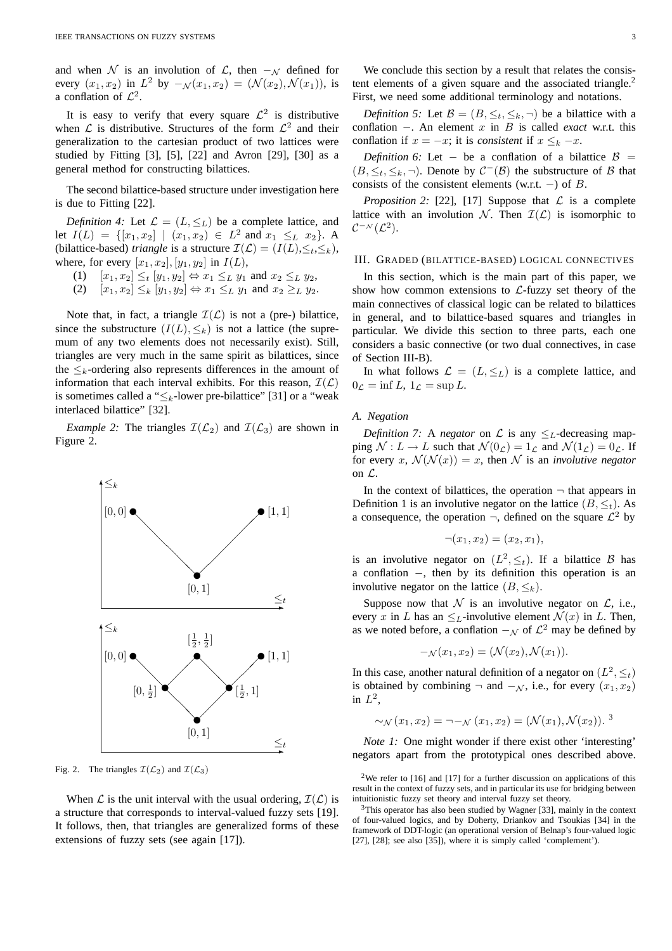and when N is an involution of L, then  $-\mathcal{N}$  defined for every  $(x_1, x_2)$  in  $L^2$  by  $-\mathcal{N}(x_1, x_2) = (\mathcal{N}(x_2), \mathcal{N}(x_1))$ , is a conflation of  $\mathcal{L}^2$ .

It is easy to verify that every square  $\mathcal{L}^2$  is distributive when  $\mathcal L$  is distributive. Structures of the form  $\mathcal L^2$  and their generalization to the cartesian product of two lattices were studied by Fitting [3], [5], [22] and Avron [29], [30] as a general method for constructing bilattices.

The second bilattice-based structure under investigation here is due to Fitting [22].

*Definition 4:* Let  $\mathcal{L} = (L, \leq_L)$  be a complete lattice, and let  $I(L) = \{ [x_1, x_2] \mid (x_1, x_2) \in L^2 \text{ and } x_1 \leq_L x_2 \}.$  A (bilattice-based) *triangle* is a structure  $\mathcal{I}(\mathcal{L}) = (I(L), \leq_t, \leq_k)$ , where, for every  $[x_1, x_2], [y_1, y_2]$  in  $I(L)$ ,

- (1)  $[x_1, x_2] \leq_t [y_1, y_2] \Leftrightarrow x_1 \leq_L y_1 \text{ and } x_2 \leq_L y_2$ ,
- (2)  $[x_1, x_2] \leq_k [y_1, y_2] \Leftrightarrow x_1 \leq_L y_1 \text{ and } x_2 \geq_L y_2.$

Note that, in fact, a triangle  $\mathcal{I}(\mathcal{L})$  is not a (pre-) bilattice, since the substructure  $(I(L), \leq_k)$  is not a lattice (the supremum of any two elements does not necessarily exist). Still, triangles are very much in the same spirit as bilattices, since the  $\leq_k$ -ordering also represents differences in the amount of information that each interval exhibits. For this reason,  $\mathcal{I}(\mathcal{L})$ is sometimes called a " $\leq_k$ -lower pre-bilattice" [31] or a "weak interlaced bilattice" [32].

*Example 2:* The triangles  $\mathcal{I}(\mathcal{L}_2)$  and  $\mathcal{I}(\mathcal{L}_3)$  are shown in Figure 2.



Fig. 2. The triangles  $\mathcal{I}(\mathcal{L}_2)$  and  $\mathcal{I}(\mathcal{L}_3)$ 

When  $\mathcal L$  is the unit interval with the usual ordering,  $\mathcal I(\mathcal L)$  is a structure that corresponds to interval-valued fuzzy sets [19]. It follows, then, that triangles are generalized forms of these extensions of fuzzy sets (see again [17]).

We conclude this section by a result that relates the consistent elements of a given square and the associated triangle.<sup>2</sup> First, we need some additional terminology and notations.

*Definition 5:* Let  $\mathcal{B} = (B, \leq_t, \leq_k, \neg)$  be a bilattice with a conflation −. An element x in B is called *exact* w.r.t. this conflation if  $x = -x$ ; it is *consistent* if  $x \leq_k -x$ .

*Definition 6:* Let – be a conflation of a bilattice  $\beta$  =  $(B, \leq_t, \leq_k, \neg)$ . Denote by  $C^-(\mathcal{B})$  the substructure of  $\mathcal B$  that consists of the consistent elements (w.r.t.  $-$ ) of B.

*Proposition 2:* [22], [17] Suppose that  $\mathcal L$  is a complete lattice with an involution N. Then  $\mathcal{I}(\mathcal{L})$  is isomorphic to  $\mathcal{C}^{-\mathcal{N}}(\mathcal{L}^2).$ 

#### III. GRADED (BILATTICE-BASED) LOGICAL CONNECTIVES

In this section, which is the main part of this paper, we show how common extensions to  $\mathcal{L}$ -fuzzy set theory of the main connectives of classical logic can be related to bilattices in general, and to bilattice-based squares and triangles in particular. We divide this section to three parts, each one considers a basic connective (or two dual connectives, in case of Section III-B).

In what follows  $\mathcal{L} = (L, \leq_L)$  is a complete lattice, and  $0_{\mathcal{L}} = \inf L, 1_{\mathcal{L}} = \sup L.$ 

## *A. Negation*

*Definition 7:* A *negator* on  $\mathcal L$  is any  $\leq_L$ -decreasing mapping  $\mathcal{N}: L \to L$  such that  $\mathcal{N}(0_{\mathcal{L}}) = 1_{\mathcal{L}}$  and  $\mathcal{N}(1_{\mathcal{L}}) = 0_{\mathcal{L}}$ . If for every x,  $\mathcal{N}(\mathcal{N}(x)) = x$ , then N is an *involutive negator* on L.

In the context of bilattices, the operation  $\neg$  that appears in Definition 1 is an involutive negator on the lattice  $(B, \leq_t)$ . As a consequence, the operation  $\neg$ , defined on the square  $\mathcal{L}^2$  by

$$
\neg (x_1, x_2) = (x_2, x_1),
$$

is an involutive negator on  $(L^2, \leq_t)$ . If a bilattice B has a conflation −, then by its definition this operation is an involutive negator on the lattice  $(B, \leq_k)$ .

Suppose now that  $N$  is an involutive negator on  $\mathcal{L}$ , i.e., every x in L has an  $\leq_L$ -involutive element  $\mathcal{N}(x)$  in L. Then, as we noted before, a conflation  $-\mathcal{N}$  of  $\mathcal{L}^2$  may be defined by

$$
-\mathcal{N}(x_1, x_2) = (\mathcal{N}(x_2), \mathcal{N}(x_1)).
$$

In this case, another natural definition of a negator on  $(L^2, \leq_t)$ is obtained by combining  $\neg$  and  $-\mathcal{N}$ , i.e., for every  $(x_1, x_2)$ in  $L^2$ ,

$$
\sim_{\mathcal{N}}(x_1, x_2) = \neg -_{\mathcal{N}}(x_1, x_2) = (\mathcal{N}(x_1), \mathcal{N}(x_2)).
$$
<sup>3</sup>

*Note 1:* One might wonder if there exist other 'interesting' negators apart from the prototypical ones described above.

<sup>&</sup>lt;sup>2</sup>We refer to  $[16]$  and  $[17]$  for a further discussion on applications of this result in the context of fuzzy sets, and in particular its use for bridging between intuitionistic fuzzy set theory and interval fuzzy set theory.

 $3$ This operator has also been studied by Wagner [33], mainly in the context of four-valued logics, and by Doherty, Driankov and Tsoukias [34] in the framework of DDT-logic (an operational version of Belnap's four-valued logic [27], [28]; see also [35]), where it is simply called 'complement').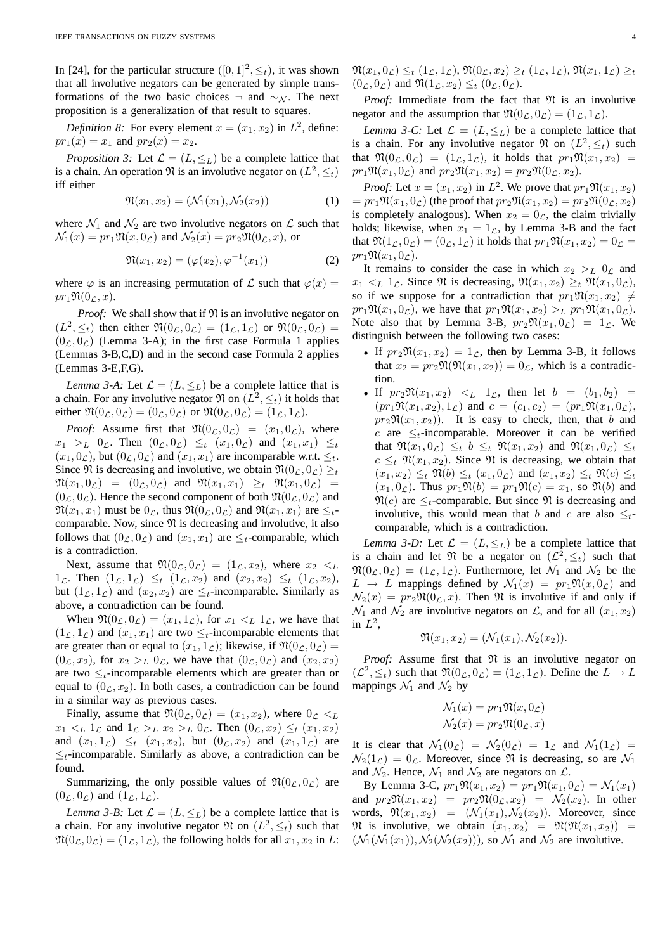In [24], for the particular structure  $([0, 1]^2, \leq_t)$ , it was shown that all involutive negators can be generated by simple transformations of the two basic choices  $\neg$  and  $\sim_{\mathcal{N}}$ . The next proposition is a generalization of that result to squares.

*Definition 8:* For every element  $x = (x_1, x_2)$  in  $L^2$ , define:  $pr_1(x) = x_1$  and  $pr_2(x) = x_2$ .

*Proposition 3:* Let  $\mathcal{L} = (L, \leq_L)$  be a complete lattice that is a chain. An operation  $\mathfrak N$  is an involutive negator on  $(L^2, \leq_t)$ iff either

$$
\mathfrak{N}(x_1, x_2) = (\mathcal{N}_1(x_1), \mathcal{N}_2(x_2))
$$
 (1)

where  $\mathcal{N}_1$  and  $\mathcal{N}_2$  are two involutive negators on  $\mathcal L$  such that  $\mathcal{N}_1(x) = pr_1 \mathfrak{N}(x, 0_\mathcal{L})$  and  $\mathcal{N}_2(x) = pr_2 \mathfrak{N}(0_\mathcal{L}, x)$ , or

$$
\mathfrak{N}(x_1, x_2) = (\varphi(x_2), \varphi^{-1}(x_1))
$$
 (2)

where  $\varphi$  is an increasing permutation of  $\mathcal L$  such that  $\varphi(x) =$  $pr_1\mathfrak{N}(0_\mathcal{L},x)$ .

*Proof:* We shall show that if  $\mathfrak N$  is an involutive negator on  $(L^2, \leq_t)$  then either  $\mathfrak{N}(0_\mathcal{L}, 0_\mathcal{L}) = (1_\mathcal{L}, 1_\mathcal{L})$  or  $\mathfrak{N}(0_\mathcal{L}, 0_\mathcal{L}) =$  $(0<sub>L</sub>, 0<sub>L</sub>)$  (Lemma 3-A); in the first case Formula 1 applies (Lemmas 3-B,C,D) and in the second case Formula 2 applies (Lemmas 3-E,F,G).

*Lemma 3-A:* Let  $\mathcal{L} = (L, \leq_L)$  be a complete lattice that is a chain. For any involutive negator  $\mathfrak{N}$  on  $(L^2, \leq_t)$  it holds that either  $\mathfrak{N}(0_{\mathcal{L}}, 0_{\mathcal{L}}) = (0_{\mathcal{L}}, 0_{\mathcal{L}})$  or  $\mathfrak{N}(0_{\mathcal{L}}, 0_{\mathcal{L}}) = (1_{\mathcal{L}}, 1_{\mathcal{L}}).$ 

*Proof:* Assume first that  $\Re(0_{\mathcal{L}}, 0_{\mathcal{L}}) = (x_1, 0_{\mathcal{L}})$ , where  $x_1 >_L 0$ <sub>c</sub>. Then  $(0_\mathcal{L}, 0_\mathcal{L}) \leq_t (x_1, 0_\mathcal{L})$  and  $(x_1, x_1) \leq_t$  $(x_1, 0_\mathcal{L})$ , but  $(0_\mathcal{L}, 0_\mathcal{L})$  and  $(x_1, x_1)$  are incomparable w.r.t.  $\leq_t$ . Since  $\mathfrak N$  is decreasing and involutive, we obtain  $\mathfrak N(0_\mathcal{L}, 0_\mathcal{L}) \geq_t$  $\mathfrak{N}(x_1, 0_\mathcal{L}) = (0_\mathcal{L}, 0_\mathcal{L})$  and  $\mathfrak{N}(x_1, x_1) \geq_t \mathfrak{N}(x_1, 0_\mathcal{L}) =$  $(0_{\mathcal{L}}, 0_{\mathcal{L}})$ . Hence the second component of both  $\Re(0_{\mathcal{L}}, 0_{\mathcal{L}})$  and  $\mathfrak{N}(x_1, x_1)$  must be  $0_{\mathcal{L}}$ , thus  $\mathfrak{N}(0_{\mathcal{L}}, 0_{\mathcal{L}})$  and  $\mathfrak{N}(x_1, x_1)$  are  $\leq_t$ comparable. Now, since  $\mathfrak N$  is decreasing and involutive, it also follows that  $(0_\mathcal{L}, 0_\mathcal{L})$  and  $(x_1, x_1)$  are  $\leq_t$ -comparable, which is a contradiction.

Next, assume that  $\Re(0_{\mathcal{L}}, 0_{\mathcal{L}}) = (1_{\mathcal{L}}, x_2)$ , where  $x_2 <_L$  $1_{\mathcal{L}}$ . Then  $(1_{\mathcal{L}}, 1_{\mathcal{L}}) \leq_t (1_{\mathcal{L}}, x_2)$  and  $(x_2, x_2) \leq_t (1_{\mathcal{L}}, x_2)$ , but  $(1_{\mathcal{L}}, 1_{\mathcal{L}})$  and  $(x_2, x_2)$  are  $\leq_t$ -incomparable. Similarly as above, a contradiction can be found.

When  $\mathfrak{N}(0_\mathcal{L}, 0_\mathcal{L}) = (x_1, 1_\mathcal{L})$ , for  $x_1 \lt_L 1_\mathcal{L}$ , we have that  $(1_{\mathcal{L}}, 1_{\mathcal{L}})$  and  $(x_1, x_1)$  are two  $\leq_t$ -incomparable elements that are greater than or equal to  $(x_1, 1_{\mathcal{L}})$ ; likewise, if  $\Re(0_{\mathcal{L}}, 0_{\mathcal{L}})$  =  $(0_{\mathcal{L}}, x_2)$ , for  $x_2 >_L 0_{\mathcal{L}}$ , we have that  $(0_{\mathcal{L}}, 0_{\mathcal{L}})$  and  $(x_2, x_2)$ are two  $\leq_t$ -incomparable elements which are greater than or equal to  $(0<sub>\mathcal{L}</sub>, x<sub>2</sub>)$ . In both cases, a contradiction can be found in a similar way as previous cases.

Finally, assume that  $\Re(0_{\mathcal{L}}, 0_{\mathcal{L}}) = (x_1, x_2)$ , where  $0_{\mathcal{L}} < L$  $x_1 \lt_L 1_L$  and  $1_L >_L x_2 >_L 0_L$ . Then  $(0_L, x_2) \leq_t (x_1, x_2)$ and  $(x_1, 1_\mathcal{L}) \leq_t (x_1, x_2)$ , but  $(0_\mathcal{L}, x_2)$  and  $(x_1, 1_\mathcal{L})$  are  $\leq_t$ -incomparable. Similarly as above, a contradiction can be found.

Summarizing, the only possible values of  $\Re(0_{\mathcal{L}}, 0_{\mathcal{L}})$  are  $(0_{\mathcal{L}}, 0_{\mathcal{L}})$  and  $(1_{\mathcal{L}}, 1_{\mathcal{L}})$ .

*Lemma 3-B:* Let  $\mathcal{L} = (L, \leq_L)$  be a complete lattice that is a chain. For any involutive negator  $\mathfrak N$  on  $(L^2, \leq_t)$  such that  $\mathfrak{N}(0_\mathcal{L}, 0_\mathcal{L}) = (1_\mathcal{L}, 1_\mathcal{L})$ , the following holds for all  $x_1, x_2$  in L:

 $\mathfrak{N}(x_1, 0_\mathcal{L}) \leq_t (1_\mathcal{L}, 1_\mathcal{L}), \mathfrak{N}(0_\mathcal{L}, x_2) \geq_t (1_\mathcal{L}, 1_\mathcal{L}), \mathfrak{N}(x_1, 1_\mathcal{L}) \geq_t t$  $(0_\mathcal{L}, 0_\mathcal{L})$  and  $\mathfrak{N}(1_\mathcal{L}, x_2) \leq_t (0_\mathcal{L}, 0_\mathcal{L}).$ 

*Proof:* Immediate from the fact that  $\mathfrak N$  is an involutive negator and the assumption that  $\mathfrak{N}(0_\mathcal{L}, 0_\mathcal{L}) = (1_\mathcal{L}, 1_\mathcal{L}).$ 

*Lemma 3-C:* Let  $\mathcal{L} = (L, \leq_L)$  be a complete lattice that is a chain. For any involutive negator  $\mathfrak N$  on  $(L^2, \leq_t)$  such that  $\mathfrak{N}(0_{\mathcal{L}}, 0_{\mathcal{L}}) = (1_{\mathcal{L}}, 1_{\mathcal{L}})$ , it holds that  $pr_1\mathfrak{N}(x_1, x_2) =$  $pr_1\mathfrak{N}(x_1, 0_\mathcal{L})$  and  $pr_2\mathfrak{N}(x_1, x_2) = pr_2\mathfrak{N}(0_\mathcal{L}, x_2)$ .

*Proof:* Let  $x = (x_1, x_2)$  in  $L^2$ . We prove that  $pr_1 \mathfrak{N}(x_1, x_2)$  $= pr_1\mathfrak{N}(x_1, 0_\mathcal{L})$  (the proof that  $pr_2\mathfrak{N}(x_1, x_2) = pr_2\mathfrak{N}(0_\mathcal{L}, x_2)$ is completely analogous). When  $x_2 = 0_{\mathcal{L}}$ , the claim trivially holds; likewise, when  $x_1 = 1_{\mathcal{L}}$ , by Lemma 3-B and the fact that  $\mathfrak{N}(1_{\mathcal{L}}, 0_{\mathcal{L}}) = (0_{\mathcal{L}}, 1_{\mathcal{L}})$  it holds that  $pr_1\mathfrak{N}(x_1, x_2) = 0_{\mathcal{L}} =$  $pr_1\mathfrak{N}(x_1, 0<sub>\mathcal{L}</sub>).$ 

It remains to consider the case in which  $x_2 >_L 0_L$  and  $x_1 \lt_L 1_{\mathcal{L}}$ . Since  $\mathfrak{N}$  is decreasing,  $\mathfrak{N}(x_1, x_2) \geq_t \mathfrak{N}(x_1, 0_{\mathcal{L}})$ , so if we suppose for a contradiction that  $pr_1\mathfrak{N}(x_1, x_2) \neq$  $pr_1\mathfrak{N}(x_1, 0_\mathcal{L})$ , we have that  $pr_1\mathfrak{N}(x_1, x_2) >_L pr_1\mathfrak{N}(x_1, 0_\mathcal{L})$ . Note also that by Lemma 3-B,  $pr_2\mathfrak{N}(x_1, 0_\mathcal{L}) = 1_\mathcal{L}$ . We distinguish between the following two cases:

- If  $pr_2\mathfrak{N}(x_1, x_2) = 1_{\mathcal{L}}$ , then by Lemma 3-B, it follows that  $x_2 = pr_2\mathfrak{N}(\mathfrak{N}(x_1, x_2)) = 0_{\mathcal{L}}$ , which is a contradiction.
- If  $pr_2\mathfrak{N}(x_1, x_2) < L 1_{\mathcal{L}}$ , then let  $b = (b_1, b_2) =$  $(pr_1\mathfrak{N}(x_1,x_2),1_\mathcal{L})$  and  $c = (c_1,c_2) = (pr_1\mathfrak{N}(x_1,0_\mathcal{L}),$  $pr_2\mathfrak{N}(x_1, x_2)$ . It is easy to check, then, that b and c are  $\leq_t$ -incomparable. Moreover it can be verified that  $\Re(x_1, 0_\mathcal{L}) \leq_t b \leq_t \Re(x_1, x_2)$  and  $\Re(x_1, 0_\mathcal{L}) \leq_t$  $c \leq_t \mathfrak{N}(x_1, x_2)$ . Since  $\mathfrak{N}$  is decreasing, we obtain that  $(x_1, x_2) \leq_t \mathfrak{N}(b) \leq_t (x_1, 0_\mathcal{L})$  and  $(x_1, x_2) \leq_t \mathfrak{N}(c) \leq_t$  $(x_1, 0_\mathcal{L})$ . Thus  $pr_1\mathfrak{N}(b) = pr_1\mathfrak{N}(c) = x_1$ , so  $\mathfrak{N}(b)$  and  $\mathfrak{N}(c)$  are  $\leq_t$ -comparable. But since  $\mathfrak{N}$  is decreasing and involutive, this would mean that b and c are also  $\leq t$ comparable, which is a contradiction.

*Lemma 3-D:* Let  $\mathcal{L} = (L, \leq_L)$  be a complete lattice that is a chain and let  $\mathfrak N$  be a negator on  $(\mathcal L^2, \leq_t)$  such that  $\mathfrak{N}(0_{\mathcal{L}}, 0_{\mathcal{L}}) = (1_{\mathcal{L}}, 1_{\mathcal{L}})$ . Furthermore, let  $\mathcal{N}_1$  and  $\mathcal{N}_2$  be the  $L \rightarrow L$  mappings defined by  $\mathcal{N}_1(x) = pr_1 \mathfrak{N}(x, 0_{\mathcal{L}})$  and  $\mathcal{N}_2(x) = pr_2\mathfrak{N}(0_\mathcal{L}, x)$ . Then  $\mathfrak{N}$  is involutive if and only if  $\mathcal{N}_1$  and  $\mathcal{N}_2$  are involutive negators on  $\mathcal{L}$ , and for all  $(x_1, x_2)$ in  $L^2$ ,

$$
\mathfrak{N}(x_1, x_2) = (\mathcal{N}_1(x_1), \mathcal{N}_2(x_2)).
$$

*Proof:* Assume first that  $\mathfrak N$  is an involutive negator on  $(\mathcal{L}^2, \leq_t)$  such that  $\mathfrak{N}(0_\mathcal{L}, 0_\mathcal{L}) = (1_\mathcal{L}, 1_\mathcal{L})$ . Define the  $L \to L$ mappings  $\mathcal{N}_1$  and  $\mathcal{N}_2$  by

$$
\mathcal{N}_1(x) = pr_1 \mathfrak{N}(x, 0_{\mathcal{L}})
$$

$$
\mathcal{N}_2(x) = pr_2 \mathfrak{N}(0_{\mathcal{L}}, x)
$$

It is clear that  $\mathcal{N}_1(0_\mathcal{L}) = \mathcal{N}_2(0_\mathcal{L}) = 1_\mathcal{L}$  and  $\mathcal{N}_1(1_\mathcal{L}) =$  $\mathcal{N}_2(1_\mathcal{L}) = 0_\mathcal{L}$ . Moreover, since  $\mathfrak{N}$  is decreasing, so are  $\mathcal{N}_1$ and  $\mathcal{N}_2$ . Hence,  $\mathcal{N}_1$  and  $\mathcal{N}_2$  are negators on  $\mathcal{L}$ .

By Lemma 3-C,  $pr_1\mathfrak{N}(x_1, x_2) = pr_1\mathfrak{N}(x_1, 0_L) = \mathcal{N}_1(x_1)$ and  $pr_2\mathfrak{N}(x_1, x_2) = pr_2\mathfrak{N}(0_{\mathcal{L}}, x_2) = \mathcal{N}_2(x_2)$ . In other words,  $\mathfrak{N}(x_1, x_2) = (\mathcal{N}_1(x_1), \mathcal{N}_2(x_2))$ . Moreover, since  $\mathfrak{N}$  is involutive, we obtain  $(x_1, x_2) = \mathfrak{N}(\mathfrak{N}(x_1, x_2)) =$  $(\mathcal{N}_1(\mathcal{N}_1(x_1)), \mathcal{N}_2(\mathcal{N}_2(x_2)))$ , so  $\mathcal{N}_1$  and  $\mathcal{N}_2$  are involutive.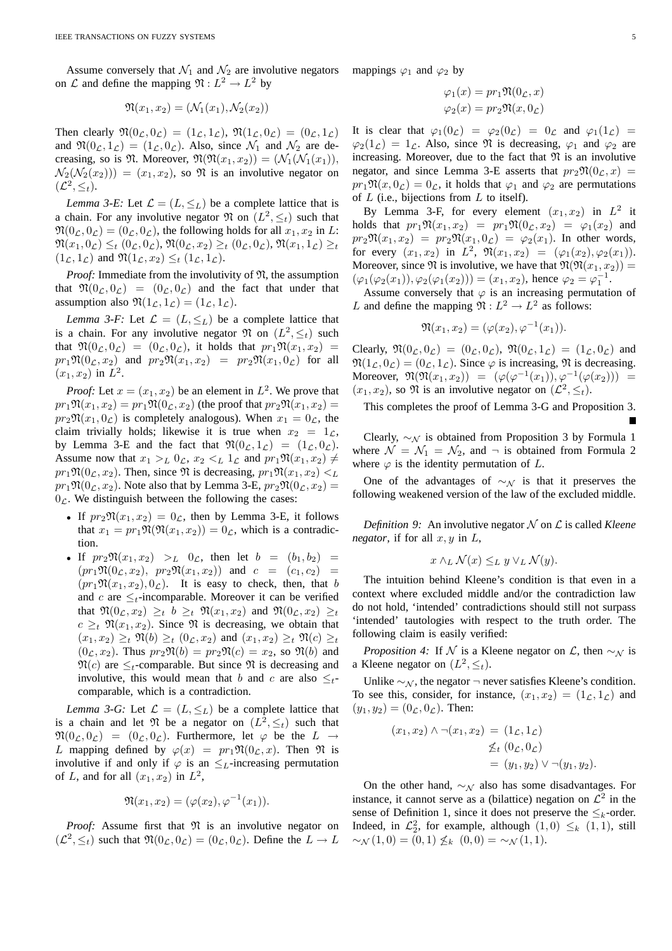Assume conversely that  $\mathcal{N}_1$  and  $\mathcal{N}_2$  are involutive negators on  $\mathcal L$  and define the mapping  $\mathfrak{N}: L^2 \to L^2$  by

$$
\mathfrak{N}(x_1, x_2) = (\mathcal{N}_1(x_1), \mathcal{N}_2(x_2))
$$

Then clearly  $\mathfrak{N}(0_{\mathcal{L}}, 0_{\mathcal{L}}) = (1_{\mathcal{L}}, 1_{\mathcal{L}}), \, \mathfrak{N}(1_{\mathcal{L}}, 0_{\mathcal{L}}) = (0_{\mathcal{L}}, 1_{\mathcal{L}})$ and  $\mathfrak{N}(0_{\mathcal{L}}, 1_{\mathcal{L}}) = (1_{\mathcal{L}}, 0_{\mathcal{L}})$ . Also, since  $\mathcal{N}_1$  and  $\mathcal{N}_2$  are decreasing, so is  $\mathfrak{N}$ . Moreover,  $\mathfrak{N}(\mathfrak{N}(x_1, x_2)) = (\mathcal{N}_1(\mathcal{N}_1(x_1)),$  $\mathcal{N}_2(\mathcal{N}_2(x_2)) = (x_1, x_2)$ , so  $\mathfrak N$  is an involutive negator on  $(\mathcal{L}^2, \leq_t)$ .

*Lemma 3-E:* Let  $\mathcal{L} = (L, \leq_L)$  be a complete lattice that is a chain. For any involutive negator  $\mathfrak{N}$  on  $(L^2, \leq_t)$  such that  $\mathfrak{N}(0_\mathcal{L}, 0_\mathcal{L}) = (0_\mathcal{L}, 0_\mathcal{L})$ , the following holds for all  $x_1, x_2$  in L:  $\mathfrak{N}(x_1, 0_{\mathcal{L}}) \leq_t (0_{\mathcal{L}}, 0_{\mathcal{L}}), \mathfrak{N}(0_{\mathcal{L}}, x_2) \geq_t (0_{\mathcal{L}}, 0_{\mathcal{L}}), \mathfrak{N}(x_1, 1_{\mathcal{L}}) \geq_t$  $(1_{\mathcal{L}}, 1_{\mathcal{L}})$  and  $\mathfrak{N}(1_{\mathcal{L}}, x_2) \leq_t (1_{\mathcal{L}}, 1_{\mathcal{L}}).$ 

*Proof:* Immediate from the involutivity of  $\mathfrak{N}$ , the assumption that  $\Re(0_{\mathcal{L}}, 0_{\mathcal{L}}) = (0_{\mathcal{L}}, 0_{\mathcal{L}})$  and the fact that under that assumption also  $\mathfrak{N}(1_{\mathcal{L}}, 1_{\mathcal{L}}) = (1_{\mathcal{L}}, 1_{\mathcal{L}}).$ 

*Lemma 3-F:* Let  $\mathcal{L} = (L, \leq_L)$  be a complete lattice that is a chain. For any involutive negator  $\mathfrak{N}$  on  $(L^2, \leq_t)$  such that  $\Re(0_{\mathcal{L}}, 0_{\mathcal{L}}) = (0_{\mathcal{L}}, 0_{\mathcal{L}})$ , it holds that  $pr_1\Re(x_1, x_2)$  =  $pr_1\mathfrak{N}(0_\mathcal{L}, x_2)$  and  $pr_2\mathfrak{N}(x_1, x_2) = pr_2\mathfrak{N}(x_1, 0_\mathcal{L})$  for all  $(x_1, x_2)$  in  $L^2$ .

*Proof:* Let  $x = (x_1, x_2)$  be an element in  $L^2$ . We prove that  $pr_1\mathfrak{N}(x_1, x_2) = pr_1\mathfrak{N}(0_{\mathcal{L}}, x_2)$  (the proof that  $pr_2\mathfrak{N}(x_1, x_2) =$  $pr_2\mathfrak{N}(x_1, 0_\mathcal{L})$  is completely analogous). When  $x_1 = 0_\mathcal{L}$ , the claim trivially holds; likewise it is true when  $x_2 = 1_{\mathcal{L}}$ , by Lemma 3-E and the fact that  $\mathfrak{N}(0_{\mathcal{L}}, 1_{\mathcal{L}}) = (1_{\mathcal{L}}, 0_{\mathcal{L}}).$ Assume now that  $x_1 >_L 0_{\mathcal{L}}$ ,  $x_2 <_L 1_{\mathcal{L}}$  and  $pr_1\mathfrak{N}(x_1, x_2) \neq$  $pr_1\mathfrak{N}(0_\mathcal{L}, x_2)$ . Then, since  $\mathfrak{N}$  is decreasing,  $pr_1\mathfrak{N}(x_1, x_2) <_L$  $pr_1\mathfrak{N}(0_\mathcal{L}, x_2)$ . Note also that by Lemma 3-E,  $pr_2\mathfrak{N}(0_\mathcal{L}, x_2)$  =  $0_{\mathcal{L}}$ . We distinguish between the following the cases:

- If  $pr_2\mathfrak{N}(x_1, x_2) = 0_{\mathcal{L}}$ , then by Lemma 3-E, it follows that  $x_1 = pr_1 \mathfrak{N}(\mathfrak{N}(x_1, x_2)) = 0_{\mathcal{L}}$ , which is a contradiction.
- If  $pr_2\Re(x_1, x_2) >_L 0_L$ , then let  $b = (b_1, b_2) =$  $(pr_1\mathfrak{N}(0_{\mathcal{L}}, x_2), pr_2\mathfrak{N}(x_1, x_2))$  and  $c = (c_1, c_2)$  $(pr_1\mathfrak{N}(x_1, x_2), 0_{\mathcal{L}})$ . It is easy to check, then, that b and c are  $\leq_t$ -incomparable. Moreover it can be verified that  $\Re(0_{\mathcal{L}}, x_2) \geq_t b \geq_t \Re(x_1, x_2)$  and  $\Re(0_{\mathcal{L}}, x_2) \geq_t$  $c \geq_t \mathfrak{N}(x_1, x_2)$ . Since  $\mathfrak{N}$  is decreasing, we obtain that  $(x_1, x_2) \geq_t \mathfrak{N}(b) \geq_t (0_{\mathcal{L}}, x_2)$  and  $(x_1, x_2) \geq_t \mathfrak{N}(c) \geq_t$  $(0<sub>C</sub>, x<sub>2</sub>)$ . Thus  $pr_2\mathfrak{N}(b) = pr_2\mathfrak{N}(c) = x_2$ , so  $\mathfrak{N}(b)$  and  $\mathfrak{N}(c)$  are  $\leq_t$ -comparable. But since  $\mathfrak{N}$  is decreasing and involutive, this would mean that b and c are also  $\leq t$ comparable, which is a contradiction.

*Lemma 3-G:* Let  $\mathcal{L} = (L, \leq_L)$  be a complete lattice that is a chain and let  $\mathfrak N$  be a negator on  $(L^2, \leq_t)$  such that  $\Re(0_{\mathcal{L}}, 0_{\mathcal{L}}) = (0_{\mathcal{L}}, 0_{\mathcal{L}})$ . Furthermore, let  $\varphi$  be the  $L \to$ L mapping defined by  $\varphi(x) = pr_1 \mathfrak{N}(0_\mathcal{L}, x)$ . Then  $\mathfrak{N}$  is involutive if and only if  $\varphi$  is an  $\leq_L$ -increasing permutation of L, and for all  $(x_1, x_2)$  in  $L^2$ ,

$$
\mathfrak{N}(x_1, x_2) = (\varphi(x_2), \varphi^{-1}(x_1)).
$$

*Proof:* Assume first that  $\mathfrak N$  is an involutive negator on  $(\mathcal{L}^2, \leq_t)$  such that  $\mathfrak{N}(0_\mathcal{L}, 0_\mathcal{L}) = (0_\mathcal{L}, 0_\mathcal{L})$ . Define the  $L \to L$ 

mappings  $\varphi_1$  and  $\varphi_2$  by

$$
\varphi_1(x) = pr_1 \mathfrak{N}(0_{\mathcal{L}}, x)
$$

$$
\varphi_2(x) = pr_2 \mathfrak{N}(x, 0_{\mathcal{L}})
$$

It is clear that  $\varphi_1(0_\mathcal{L}) = \varphi_2(0_\mathcal{L}) = 0_\mathcal{L}$  and  $\varphi_1(1_\mathcal{L}) =$  $\varphi_2(1_\mathcal{L}) = 1_\mathcal{L}$ . Also, since  $\mathfrak{N}$  is decreasing,  $\varphi_1$  and  $\varphi_2$  are increasing. Moreover, due to the fact that  $\mathfrak N$  is an involutive negator, and since Lemma 3-E asserts that  $pr_2\mathfrak{N}(0_\mathcal{L}, x)$  =  $pr_1\mathfrak{N}(x, 0_\mathcal{L}) = 0_\mathcal{L}$ , it holds that  $\varphi_1$  and  $\varphi_2$  are permutations of  $L$  (i.e., bijections from  $L$  to itself).

By Lemma 3-F, for every element  $(x_1, x_2)$  in  $L^2$  it holds that  $pr_1\mathfrak{N}(x_1, x_2) = pr_1\mathfrak{N}(0_{\mathcal{L}}, x_2) = \varphi_1(x_2)$  and  $pr_2\mathfrak{N}(x_1, x_2) = pr_2\mathfrak{N}(x_1, 0_{\mathcal{L}}) = \varphi_2(x_1)$ . In other words, for every  $(x_1, x_2)$  in  $L^2$ ,  $\mathfrak{N}(x_1, x_2) = (\varphi_1(x_2), \varphi_2(x_1)).$ Moreover, since  $\Re$  is involutive, we have that  $\Re(\Re(x_1, x_2)) =$  $(\varphi_1(\varphi_2(x_1)), \varphi_2(\varphi_1(x_2))) = (x_1, x_2)$ , hence  $\varphi_2 = \varphi_1^{-1}$ .

Assume conversely that  $\varphi$  is an increasing permutation of L and define the mapping  $\mathfrak{N}: L^2 \to L^2$  as follows:

$$
\mathfrak{N}(x_1, x_2) = (\varphi(x_2), \varphi^{-1}(x_1)).
$$

Clearly,  $\mathfrak{N}(0_{\mathcal{L}}, 0_{\mathcal{L}}) = (0_{\mathcal{L}}, 0_{\mathcal{L}}), \, \mathfrak{N}(0_{\mathcal{L}}, 1_{\mathcal{L}}) = (1_{\mathcal{L}}, 0_{\mathcal{L}})$  and  $\mathfrak{N}(1_{\mathcal{L}}, 0_{\mathcal{L}}) = (0_{\mathcal{L}}, 1_{\mathcal{L}})$ . Since  $\varphi$  is increasing,  $\mathfrak{N}$  is decreasing. Moreover,  $\Re(\Re(x_1, x_2)) = (\varphi(\varphi^{-1}(x_1)), \varphi^{-1}(\varphi(x_2))) =$  $(x_1, x_2)$ , so  $\Re$  is an involutive negator on  $(\mathcal{L}^2, \leq_t)$ .

This completes the proof of Lemma 3-G and Proposition 3.

Clearly,  $\sim$ N is obtained from Proposition 3 by Formula 1 where  $\mathcal{N} = \mathcal{N}_1 = \mathcal{N}_2$ , and  $\neg$  is obtained from Formula 2 where  $\varphi$  is the identity permutation of L.

One of the advantages of  $\sim_N$  is that it preserves the following weakened version of the law of the excluded middle.

*Definition 9:* An involutive negator  $N$  on  $\mathcal L$  is called *Kleene negator*, if for all  $x, y$  in  $L$ ,

$$
x \wedge_L \mathcal{N}(x) \leq_L y \vee_L \mathcal{N}(y).
$$

The intuition behind Kleene's condition is that even in a context where excluded middle and/or the contradiction law do not hold, 'intended' contradictions should still not surpass 'intended' tautologies with respect to the truth order. The following claim is easily verified:

*Proposition 4:* If  $N$  is a Kleene negator on  $\mathcal{L}$ , then  $\sim_N$  is a Kleene negator on  $(L^2, \leq_t)$ .

Unlike  $\sim$ <sub>N</sub>, the negator  $\neg$  never satisfies Kleene's condition. To see this, consider, for instance,  $(x_1, x_2) = (1_{\mathcal{L}}, 1_{\mathcal{L}})$  and  $(y_1, y_2) = (0_{\mathcal{L}}, 0_{\mathcal{L}})$ . Then:

$$
(x_1, x_2) \land \neg(x_1, x_2) = (1_{\mathcal{L}}, 1_{\mathcal{L}})
$$
  
\$\leq\_t (0\_{\mathcal{L}}, 0\_{\mathcal{L}})\$  
= (y\_1, y\_2) \lor \neg(y\_1, y\_2).

On the other hand,  $\sim_N$  also has some disadvantages. For instance, it cannot serve as a (bilattice) negation on  $\mathcal{L}^2$  in the sense of Definition 1, since it does not preserve the  $\leq_k$ -order. Indeed, in  $\mathcal{L}_2^2$ , for example, although  $(1,0) \leq_k (1,1)$ , still  $\sim_{\mathcal{N}}(1,0) = (0,1) \not\leq_k (0,0) = \sim_{\mathcal{N}}(1,1).$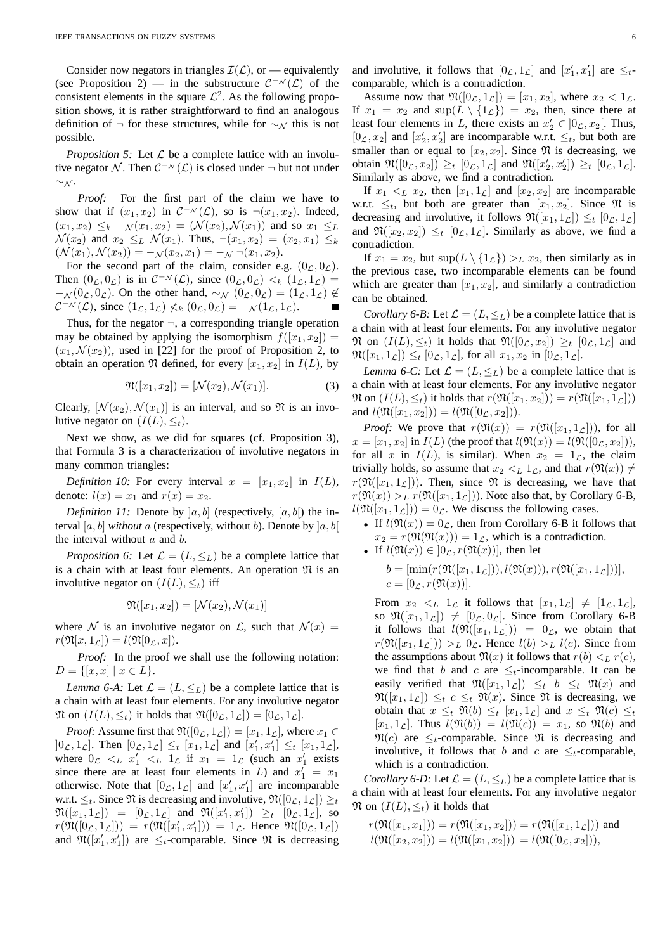Consider now negators in triangles  $\mathcal{I}(\mathcal{L})$ , or — equivalently (see Proposition 2) — in the substructure  $C^{-N}(\mathcal{L})$  of the consistent elements in the square  $\mathcal{L}^2$ . As the following proposition shows, it is rather straightforward to find an analogous definition of  $\neg$  for these structures, while for  $\sim_\mathcal{N}$  this is not possible.

*Proposition 5:* Let  $\mathcal L$  be a complete lattice with an involutive negator N. Then  $C^{-\mathcal{N}}(\mathcal{L})$  is closed under  $\neg$  but not under  $\sim_\mathcal{N}$ .

*Proof:* For the first part of the claim we have to show that if  $(x_1, x_2)$  in  $C^{-\mathcal{N}}(\mathcal{L})$ , so is  $\neg(x_1, x_2)$ . Indeed,  $(x_1, x_2) \leq_k -\mathcal{N}(x_1, x_2) = (\mathcal{N}(x_2), \mathcal{N}(x_1))$  and so  $x_1 \leq_L$  $\mathcal{N}(x_2)$  and  $x_2 \leq_L \mathcal{N}(x_1)$ . Thus,  $\neg(x_1, x_2) = (x_2, x_1) \leq_k$  $(\mathcal{N}(x_1), \mathcal{N}(x_2)) = -\mathcal{N}(x_2, x_1) = -\mathcal{N}(x_1, x_2).$ 

For the second part of the claim, consider e.g.  $(0<sub>L</sub>, 0<sub>L</sub>)$ . Then  $(0_{\mathcal{L}}, 0_{\mathcal{L}})$  is in  $\mathcal{C}^{-\mathcal{N}}(\mathcal{L})$ , since  $(0_{\mathcal{L}}, 0_{\mathcal{L}}) <_{k} (1_{\mathcal{L}}, 1_{\mathcal{L}})$  =  $-\mathcal{N}(0_\mathcal{L}, 0_\mathcal{L})$ . On the other hand,  $\sim_\mathcal{N}(0_\mathcal{L}, 0_\mathcal{L}) = (1_\mathcal{L}, 1_\mathcal{L}) \notin$  $\mathcal{C}^{-\mathcal{N}}(\mathcal{L})$ , since  $(1_{\mathcal{L}}, 1_{\mathcal{L}}) \nless k (0_{\mathcal{L}}, 0_{\mathcal{L}}) = -\mathcal{N}(1_{\mathcal{L}}, 1_{\mathcal{L}}).$ 

Thus, for the negator  $\neg$ , a corresponding triangle operation may be obtained by applying the isomorphism  $f([x_1, x_2]) =$  $(x_1, \mathcal{N}(x_2))$ , used in [22] for the proof of Proposition 2, to obtain an operation  $\mathfrak N$  defined, for every  $[x_1, x_2]$  in  $I(L)$ , by

$$
\mathfrak{N}([x_1, x_2]) = [\mathcal{N}(x_2), \mathcal{N}(x_1)].
$$
\n(3)

Clearly,  $[\mathcal{N}(x_2), \mathcal{N}(x_1)]$  is an interval, and so  $\mathfrak{N}$  is an involutive negator on  $(I(L), \leq_t)$ .

Next we show, as we did for squares (cf. Proposition 3), that Formula 3 is a characterization of involutive negators in many common triangles:

*Definition 10:* For every interval  $x = [x_1, x_2]$  in  $I(L)$ , denote:  $l(x) = x_1$  and  $r(x) = x_2$ .

*Definition 11:* Denote by  $[a, b]$  (respectively,  $[a, b]$ ) the interval [a, b] *without* a (respectively, without b). Denote by  $[a, b]$ the interval without  $a$  and  $b$ .

*Proposition 6:* Let  $\mathcal{L} = (L, \leq_L)$  be a complete lattice that is a chain with at least four elements. An operation  $\mathfrak{N}$  is an involutive negator on  $(I(L), \leq_t)$  iff

$$
\mathfrak{N}([x_1,x_2])=[\mathcal{N}(x_2),\mathcal{N}(x_1)]
$$

where N is an involutive negator on L, such that  $\mathcal{N}(x) =$  $r(\mathfrak{N}[x, 1_{\mathcal{L}}]) = l(\mathfrak{N}[0_{\mathcal{L}}, x]).$ 

*Proof:* In the proof we shall use the following notation:  $D = \{ [x, x] \mid x \in L \}.$ 

*Lemma 6-A:* Let  $\mathcal{L} = (L, \leq_L)$  be a complete lattice that is a chain with at least four elements. For any involutive negator  $\mathfrak{N}$  on  $(I(L), \leq_t)$  it holds that  $\mathfrak{N}([0_{\mathcal{L}}, 1_{\mathcal{L}}]) = [0_{\mathcal{L}}, 1_{\mathcal{L}}].$ 

*Proof:* Assume first that  $\mathfrak{N}([0_{\mathcal{L}}, 1_{\mathcal{L}}]) = [x_1, 1_{\mathcal{L}}]$ , where  $x_1 \in$  $]0_{\mathcal{L}}, 1_{\mathcal{L}}]$ . Then  $[0_{\mathcal{L}}, 1_{\mathcal{L}}] \leq_t [x_1, 1_{\mathcal{L}}]$  and  $[x'_1, x'_1] \leq_t [x_1, 1_{\mathcal{L}}]$ , where  $0_{\mathcal{L}} <_{L} x'_{1} <_{L} 1_{\mathcal{L}}$  if  $x_{1} = 1_{\mathcal{L}}$  (such an  $x'_{1}$  exists since there are at least four elements in L) and  $x'_1 = x_1$ otherwise. Note that  $[0_{\mathcal{L}}, 1_{\mathcal{L}}]$  and  $[x'_1, x'_1]$  are incomparable w.r.t.  $\leq_t$ . Since  $\Re$  is decreasing and involutive,  $\Re([0_L, 1_L]) \geq_t$  $\mathfrak{N}([x_1, 1_{\mathcal{L}}]) = [0_{\mathcal{L}}, 1_{\mathcal{L}}]$  and  $\mathfrak{N}([x'_1, x'_1]) \geq_t [0_{\mathcal{L}}, 1_{\mathcal{L}}]$ , so  $r(\mathfrak{N}([0_{\mathcal{L}},1_{\mathcal{L}}])) = r(\mathfrak{N}([x'_1,x'_1])) = 1_{\mathcal{L}}$ . Hence  $\mathfrak{N}([0_{\mathcal{L}},1_{\mathcal{L}}])$ and  $\mathfrak{N}([x'_1, x'_1])$  are  $\leq_t$ -comparable. Since  $\mathfrak{N}$  is decreasing

and involutive, it follows that  $[0_{\mathcal{L}}, 1_{\mathcal{L}}]$  and  $[x'_1, x'_1]$  are  $\leq_t$ comparable, which is a contradiction.

Assume now that  $\mathfrak{N}([0_{\mathcal{L}},1_{\mathcal{L}}]) = [x_1,x_2]$ , where  $x_2 < 1_{\mathcal{L}}$ . If  $x_1 = x_2$  and  $\sup(L \setminus \{1_{\mathcal{L}}\}) = x_2$ , then, since there at least four elements in L, there exists an  $x_2' \in ]0_{\mathcal{L}}, x_2[$ . Thus,  $[0_{\mathcal{L}}, x_2]$  and  $[x'_2, x'_2]$  are incomparable w.r.t.  $\leq_t$ , but both are smaller than or equal to  $[x_2, x_2]$ . Since  $\Re$  is decreasing, we obtain  $\mathfrak{N}([0_{\mathcal{L}},x_2]) \geq_t [0_{\mathcal{L}},1_{\mathcal{L}}]$  and  $\mathfrak{N}([x_2',x_2']) \geq_t [0_{\mathcal{L}},1_{\mathcal{L}}]$ . Similarly as above, we find a contradiction.

If  $x_1 \lt_L x_2$ , then  $[x_1, 1_L]$  and  $[x_2, x_2]$  are incomparable w.r.t.  $\leq_t$ , but both are greater than  $[x_1, x_2]$ . Since  $\Re$  is decreasing and involutive, it follows  $\mathfrak{N}([x_1, 1_{\mathcal{L}}]) \leq_t [0_{\mathcal{L}}, 1_{\mathcal{L}}]$ and  $\mathfrak{N}([x_2, x_2]) \leq_t [0_{\mathcal{L}}, 1_{\mathcal{L}}]$ . Similarly as above, we find a contradiction.

If  $x_1 = x_2$ , but  $\sup(L \setminus \{1_{\mathcal{L}}\}) >_L x_2$ , then similarly as in the previous case, two incomparable elements can be found which are greater than  $[x_1, x_2]$ , and similarly a contradiction can be obtained.

*Corollary 6-B:* Let  $\mathcal{L} = (L, \leq_L)$  be a complete lattice that is a chain with at least four elements. For any involutive negator  $\mathfrak{N}$  on  $(I(L), \leq_t)$  it holds that  $\mathfrak{N}([0_{\mathcal{L}}, x_2]) \geq_t [0_{\mathcal{L}}, 1_{\mathcal{L}}]$  and  $\mathfrak{N}([x_1, 1_{\mathcal{L}}]) \leq_t [0_{\mathcal{L}}, 1_{\mathcal{L}}],$  for all  $x_1, x_2$  in  $[0_{\mathcal{L}}, 1_{\mathcal{L}}].$ 

*Lemma 6-C:* Let  $\mathcal{L} = (L, \leq_L)$  be a complete lattice that is a chain with at least four elements. For any involutive negator  $\mathfrak{N}$  on  $(I(L), \leq_t)$  it holds that  $r(\mathfrak{N}([x_1, x_2])) = r(\mathfrak{N}([x_1, 1], \mathcal{L}]))$ and  $l(\mathfrak{N}([x_1, x_2])) = l(\mathfrak{N}([0_{\mathcal{L}}, x_2]))$ .

*Proof:* We prove that  $r(\mathfrak{N}(x)) = r(\mathfrak{N}([x_1, 1_{\mathcal{L}}]))$ , for all  $x = [x_1, x_2]$  in  $I(L)$  (the proof that  $l(\mathfrak{N}(x)) = l(\mathfrak{N}([0_{\mathcal{L}}, x_2]))$ ), for all x in  $I(L)$ , is similar). When  $x_2 = 1_{\mathcal{L}}$ , the claim trivially holds, so assume that  $x_2 \lt_L 1_L$ , and that  $r(\mathfrak{N}(x)) \neq$  $r(\mathfrak{N}([x_1, 1_{\mathcal{L}}]))$ . Then, since  $\mathfrak{N}$  is decreasing, we have that  $r(\mathfrak{N}(x)) >_L r(\mathfrak{N}([x_1, 1_{\mathcal{L}}]))$ . Note also that, by Corollary 6-B,  $l(\mathfrak{N}([x_1, 1_{\mathcal{L}}])) = 0_{\mathcal{L}}$ . We discuss the following cases.

• If  $l(\mathfrak{N}(x)) = 0_{\mathcal{L}}$ , then from Corollary 6-B it follows that  $x_2 = r(\mathfrak{N}(\mathfrak{N}(x))) = 1_{\mathcal{L}}$ , which is a contradiction.

• If 
$$
l(\mathfrak{N}(x)) \in [0, r(\mathfrak{N}(x))]
$$
, then let  
\n
$$
b = [\min(r(\mathfrak{N}([x_1, 1_{\mathcal{L}}])), l(\mathfrak{N}(x))), r(\mathfrak{N}([x_1, 1_{\mathcal{L}}]))],
$$
\n
$$
c = [0, r(\mathfrak{N}(x))].
$$

From  $x_2 \leq L \leq 1_{\mathcal{L}}$  it follows that  $[x_1, 1_{\mathcal{L}}] \neq [1_{\mathcal{L}}, 1_{\mathcal{L}}],$ so  $\mathfrak{N}([x_1, 1_{\mathcal{L}}]) \neq [0_{\mathcal{L}}, 0_{\mathcal{L}}]$ . Since from Corollary 6-B it follows that  $l(\mathfrak{N}([x_1, 1_{\mathcal{L}}])) = 0_{\mathcal{L}}$ , we obtain that  $r(\mathfrak{N}([x_1, 1_{\mathcal{L}}])) >_{L} 0_{\mathcal{L}}$ . Hence  $l(b) >_{L} l(c)$ . Since from the assumptions about  $\mathfrak{N}(x)$  it follows that  $r(b) <_L r(c)$ , we find that b and c are  $\leq_t$ -incomparable. It can be easily verified that  $\Re([x_1, 1_{\mathcal{L}}]) \leq_t b \leq_t \Re(x)$  and  $\mathfrak{N}([x_1, 1_{\mathcal{L}}]) \leq_t c \leq_t \mathfrak{N}(x)$ . Since  $\mathfrak{N}$  is decreasing, we obtain that  $x \leq_t \mathfrak{N}(b) \leq_t [x_1, 1_{\mathcal{L}}]$  and  $x \leq_t \mathfrak{N}(c) \leq_t$  $[x_1, 1_{\mathcal{L}}]$ . Thus  $l(\mathfrak{N}(b)) = l(\mathfrak{N}(c)) = x_1$ , so  $\mathfrak{N}(b)$  and  $\mathfrak{N}(c)$  are  $\leq_t$ -comparable. Since  $\mathfrak{N}$  is decreasing and involutive, it follows that b and c are  $\leq_t$ -comparable, which is a contradiction.

*Corollary 6-D:* Let  $\mathcal{L} = (L, \leq_L)$  be a complete lattice that is a chain with at least four elements. For any involutive negator  $\mathfrak{N}$  on  $(I(L), \leq_t)$  it holds that

$$
r(\mathfrak{N}([x_1, x_1])) = r(\mathfrak{N}([x_1, x_2])) = r(\mathfrak{N}([x_1, 1_{\mathcal{L}}])) \text{ and } l(\mathfrak{N}([x_2, x_2])) = l(\mathfrak{N}([x_1, x_2])) = l(\mathfrak{N}([0_{\mathcal{L}}, x_2])),
$$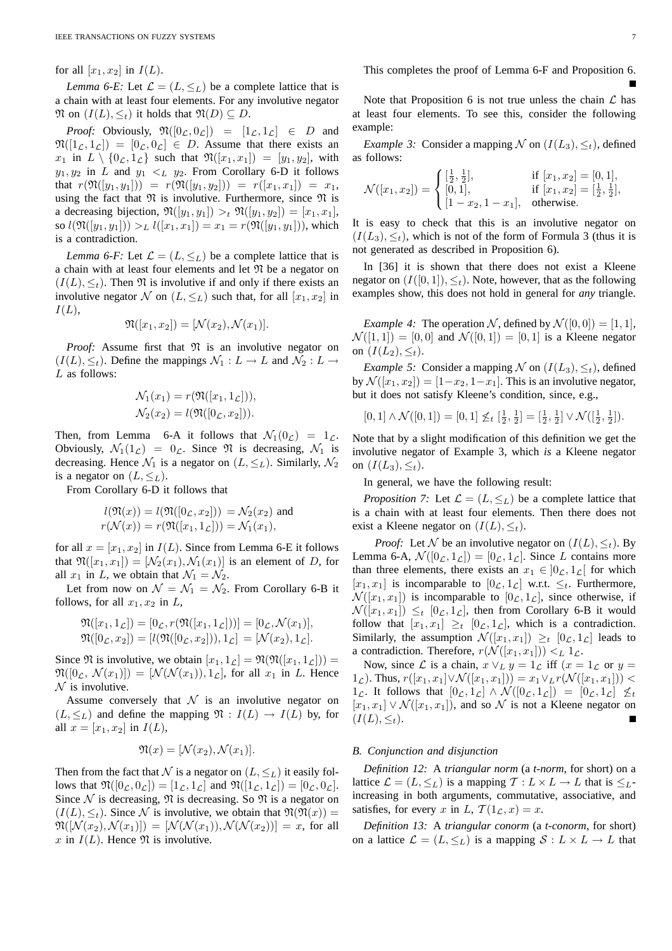for all  $[x_1, x_2]$  in  $I(L)$ .

*Lemma 6-E:* Let  $\mathcal{L} = (L, \leq_L)$  be a complete lattice that is a chain with at least four elements. For any involutive negator  $\mathfrak{N}$  on  $(I(L), \leq_t)$  it holds that  $\mathfrak{N}(D) \subseteq D$ .

*Proof:* Obviously,  $\mathfrak{N}([0_{\mathcal{L}}, 0_{\mathcal{L}}]) = [1_{\mathcal{L}}, 1_{\mathcal{L}}] \in D$  and  $\mathfrak{N}([1_{\mathcal{L}}, 1_{\mathcal{L}}]) = [0_{\mathcal{L}}, 0_{\mathcal{L}}] \in D$ . Assume that there exists an  $x_1$  in  $L \setminus \{0_{\mathcal{L}}, 1_{\mathcal{L}}\}$  such that  $\mathfrak{N}([x_1, x_1]) = [y_1, y_2]$ , with  $y_1, y_2$  in L and  $y_1 <_L y_2$ . From Corollary 6-D it follows that  $r(\mathfrak{N}([y_1, y_1])) = r(\mathfrak{N}([y_1, y_2])) = r([x_1, x_1]) = x_1$ , using the fact that  $\mathfrak N$  is involutive. Furthermore, since  $\mathfrak N$  is a decreasing bijection,  $\mathfrak{N}([y_1, y_1]) >_t \mathfrak{N}([y_1, y_2]) = [x_1, x_1],$ so  $l(\mathfrak{N}([y_1, y_1])) >_L l([x_1, x_1]) = x_1 = r(\mathfrak{N}([y_1, y_1]))$ , which is a contradiction.

*Lemma 6-F:* Let  $\mathcal{L} = (L, \leq_L)$  be a complete lattice that is a chain with at least four elements and let  $\mathfrak N$  be a negator on  $(I(L), \leq_t)$ . Then  $\Re$  is involutive if and only if there exists an involutive negator N on  $(L, \leq_L)$  such that, for all  $[x_1, x_2]$  in  $I(L),$ 

$$
\mathfrak{N}([x_1,x_2]) = [\mathcal{N}(x_2), \mathcal{N}(x_1)].
$$

*Proof:* Assume first that  $\mathfrak N$  is an involutive negator on  $(I(L), \leq_t)$ . Define the mappings  $\mathcal{N}_1 : L \to L$  and  $\mathcal{N}_2 : L \to L$ L as follows:

$$
\mathcal{N}_1(x_1) = r(\mathfrak{N}([x_1, 1_{\mathcal{L}}])),
$$
  

$$
\mathcal{N}_2(x_2) = l(\mathfrak{N}([0_{\mathcal{L}}, x_2])).
$$

Then, from Lemma 6-A it follows that  $\mathcal{N}_1(0_\mathcal{L}) = 1_\mathcal{L}$ . Obviously,  $\mathcal{N}_1(1_\mathcal{L}) = 0_\mathcal{L}$ . Since  $\mathfrak{N}$  is decreasing,  $\mathcal{N}_1$  is decreasing. Hence  $\mathcal{N}_1$  is a negator on  $(L, \leq_L)$ . Similarly,  $\mathcal{N}_2$ is a negator on  $(L, \leq_L)$ .

From Corollary 6-D it follows that

$$
l(\mathfrak{N}(x)) = l(\mathfrak{N}([0_{\mathcal{L}}, x_2])) = \mathcal{N}_2(x_2)
$$
 and  
 $r(\mathcal{N}(x)) = r(\mathfrak{N}([x_1, 1_{\mathcal{L}}])) = \mathcal{N}_1(x_1),$ 

for all  $x = [x_1, x_2]$  in  $I(L)$ . Since from Lemma 6-E it follows that  $\mathfrak{N}([x_1, x_1]) = [\mathcal{N}_2(x_1), \mathcal{N}_1(x_1)]$  is an element of D, for all  $x_1$  in L, we obtain that  $\mathcal{N}_1 = \mathcal{N}_2$ .

Let from now on  $\mathcal{N} = \mathcal{N}_1 = \mathcal{N}_2$ . From Corollary 6-B it follows, for all  $x_1, x_2$  in L,

$$
\mathfrak{N}([x_1, 1_{\mathcal{L}}]) = [0_{\mathcal{L}}, r(\mathfrak{N}([x_1, 1_{\mathcal{L}}]))] = [0_{\mathcal{L}}, \mathcal{N}(x_1)], \mathfrak{N}([0_{\mathcal{L}}, x_2]) = [l(\mathfrak{N}([0_{\mathcal{L}}, x_2])), 1_{\mathcal{L}}] = [\mathcal{N}(x_2), 1_{\mathcal{L}}].
$$

Since  $\mathfrak{N}$  is involutive, we obtain  $[x_1, 1_{\mathcal{L}}] = \mathfrak{N}(\mathfrak{N}([x_1, 1_{\mathcal{L}}])) =$  $\mathfrak{N}([0,\mathcal{N}(x_1)]) = [\mathcal{N}(\mathcal{N}(x_1)), 1,\mathcal{N}]$ , for all  $x_1$  in L. Hence  $\mathcal N$  is involutive.

Assume conversely that  $N$  is an involutive negator on  $(L, \leq_L)$  and define the mapping  $\mathfrak{N} : I(L) \to I(L)$  by, for all  $x = [x_1, x_2]$  in  $I(L)$ ,

$$
\mathfrak{N}(x) = [\mathcal{N}(x_2), \mathcal{N}(x_1)].
$$

Then from the fact that N is a negator on  $(L, \leq_L)$  it easily follows that  $\mathfrak{N}([0_{\mathcal{L}}, 0_{\mathcal{L}}]) = [1_{\mathcal{L}}, 1_{\mathcal{L}}]$  and  $\mathfrak{N}([1_{\mathcal{L}}, 1_{\mathcal{L}}]) = [0_{\mathcal{L}}, 0_{\mathcal{L}}].$ Since  $\mathcal N$  is decreasing,  $\mathfrak N$  is decreasing. So  $\mathfrak N$  is a negator on  $(I(L), \leq_t)$ . Since N is involutive, we obtain that  $\mathfrak{N}(\mathfrak{N}(x)) =$  $\mathfrak{N}([\mathcal{N}(x_2), \mathcal{N}(x_1)]) = [\mathcal{N}(\mathcal{N}(x_1)), \mathcal{N}(\mathcal{N}(x_2))] = x$ , for all x in  $I(L)$ . Hence  $\Re$  is involutive.

This completes the proof of Lemma 6-F and Proposition 6.

Note that Proposition 6 is not true unless the chain  $\mathcal L$  has at least four elements. To see this, consider the following example:

*Example 3:* Consider a mapping  $N$  on  $(I(L_3), \leq_t)$ , defined as follows:

$$
\mathcal{N}([x_1, x_2]) = \begin{cases} \left[\frac{1}{2}, \frac{1}{2}\right], & \text{if } [x_1, x_2] = [0, 1],\\ [0, 1], & \text{if } [x_1, x_2] = \left[\frac{1}{2}, \frac{1}{2}\right],\\ [1 - x_2, 1 - x_1], & \text{otherwise.} \end{cases}
$$

It is easy to check that this is an involutive negator on  $(I(L_3), \leq_t)$ , which is not of the form of Formula 3 (thus it is not generated as described in Proposition 6).

In [36] it is shown that there does not exist a Kleene negator on  $(I([0, 1]), \leq_t)$ . Note, however, that as the following examples show, this does not hold in general for *any* triangle.

*Example 4:* The operation N, defined by  $\mathcal{N}([0, 0]) = [1, 1]$ ,  $\mathcal{N}([1, 1]) = [0, 0]$  and  $\mathcal{N}([0, 1]) = [0, 1]$  is a Kleene negator on  $(I(L_2), \leq_t)$ .

*Example 5:* Consider a mapping  $N$  on  $(I(L_3), \leq_t)$ , defined by  $\mathcal{N}([x_1, x_2]) = [1-x_2, 1-x_1]$ . This is an involutive negator, but it does not satisfy Kleene's condition, since, e.g.,

$$
[0,1] \wedge \mathcal{N}([0,1]) = [0,1] \nleq_t \left[\frac{1}{2}, \frac{1}{2}\right] = \left[\frac{1}{2}, \frac{1}{2}\right] \vee \mathcal{N}\left(\left[\frac{1}{2}, \frac{1}{2}\right]\right).
$$

Note that by a slight modification of this definition we get the involutive negator of Example 3, which *is* a Kleene negator on  $(I(L_3), \leq_t)$ .

In general, we have the following result:

*Proposition 7:* Let  $\mathcal{L} = (L, \leq_L)$  be a complete lattice that is a chain with at least four elements. Then there does not exist a Kleene negator on  $(I(L), \leq_t)$ .

*Proof:* Let N be an involutive negator on  $(I(L), \leq_t)$ . By Lemma 6-A,  $\mathcal{N}([0_{\mathcal{L}}, 1_{\mathcal{L}}]) = [0_{\mathcal{L}}, 1_{\mathcal{L}}]$ . Since L contains more than three elements, there exists an  $x_1 \in ]0, 1, 1]$  for which  $[x_1, x_1]$  is incomparable to  $[0_{\mathcal{L}}, 1_{\mathcal{L}}]$  w.r.t.  $\leq_t$ . Furthermore,  $\mathcal{N}([x_1, x_1])$  is incomparable to  $[0_{\mathcal{L}}, 1_{\mathcal{L}}]$ , since otherwise, if  $\mathcal{N}([x_1, x_1]) \leq_t [0, t]$ , then from Corollary 6-B it would follow that  $[x_1, x_1] \geq_t [0, t]$ , which is a contradiction. Similarly, the assumption  $\mathcal{N}([x_1, x_1]) \geq_t [0_{\mathcal{L}}, 1_{\mathcal{L}}]$  leads to a contradiction. Therefore,  $r(\mathcal{N}([x_1, x_1])) \leq L 1 \mathcal{L}$ .

Now, since  $\mathcal L$  is a chain,  $x \vee_L y = 1_{\mathcal L}$  iff  $(x = 1_{\mathcal L}$  or  $y =$ 1<sub>L</sub>). Thus,  $r([x_1, x_1] \vee \mathcal{N}([x_1, x_1])) = x_1 \vee_L r(\mathcal{N}([x_1, x_1]))$  <  $1_{\mathcal{L}}$ . It follows that  $[0_{\mathcal{L}}, 1_{\mathcal{L}}] \wedge \mathcal{N}([0_{\mathcal{L}}, 1_{\mathcal{L}}]) = [0_{\mathcal{L}}, 1_{\mathcal{L}}] \not\leq t$  $[x_1, x_1] \vee \mathcal{N}([x_1, x_1])$ , and so  $\mathcal N$  is not a Kleene negator on  $(I(L), \leq_t).$ 

## *B. Conjunction and disjunction*

*Definition 12:* A *triangular norm* (a *t-norm*, for short) on a lattice  $\mathcal{L} = (L, \leq_L)$  is a mapping  $\mathcal{T} : L \times L \to L$  that is  $\leq_L$ increasing in both arguments, commutative, associative, and satisfies, for every x in L,  $\mathcal{T}(1_{\mathcal{L}}, x) = x$ .

*Definition 13:* A *triangular conorm* (a *t-conorm*, for short) on a lattice  $\mathcal{L} = (L, \leq_L)$  is a mapping  $\mathcal{S} : L \times L \rightarrow L$  that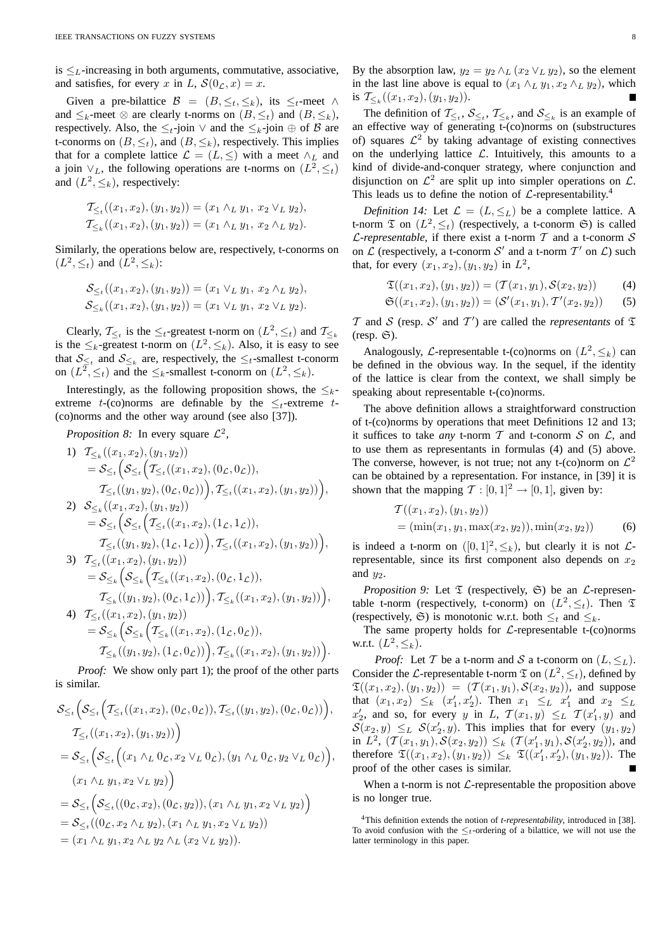is  $\leq_L$ -increasing in both arguments, commutative, associative, and satisfies, for every x in L,  $S(0<sub>L</sub>, x) = x$ .

Given a pre-bilattice  $\mathcal{B} = (B, \leq_t, \leq_k)$ , its  $\leq_t$ -meet  $\wedge$ and  $\leq_k$ -meet  $\otimes$  are clearly t-norms on  $(B, \leq_k)$  and  $(B, \leq_k)$ , respectively. Also, the  $\leq_t$ -join  $\vee$  and the  $\leq_k$ -join  $\oplus$  of  $\mathcal B$  are t-conorms on  $(B, \leq_t)$ , and  $(B, \leq_k)$ , respectively. This implies that for a complete lattice  $\mathcal{L} = (L, \leq)$  with a meet  $\wedge_L$  and a join  $\vee_L$ , the following operations are t-norms on  $(L^2, \leq_t)$ and  $(L^2, \leq_k)$ , respectively:

$$
\mathcal{T}_{\leq t}((x_1, x_2), (y_1, y_2)) = (x_1 \wedge_L y_1, x_2 \vee_L y_2),
$$
  

$$
\mathcal{T}_{\leq t}((x_1, x_2), (y_1, y_2)) = (x_1 \wedge_L y_1, x_2 \wedge_L y_2).
$$

Similarly, the operations below are, respectively, t-conorms on  $(L^2, \leq_t)$  and  $(L^2, \leq_k)$ :

$$
\mathcal{S}_{\leq_t}((x_1, x_2), (y_1, y_2)) = (x_1 \vee_L y_1, x_2 \wedge_L y_2),
$$
  

$$
\mathcal{S}_{\leq_k}((x_1, x_2), (y_1, y_2)) = (x_1 \vee_L y_1, x_2 \vee_L y_2).
$$

Clearly,  $\mathcal{T}_{\leq t}$  is the  $\leq_t$ -greatest t-norm on  $(L^2, \leq_t)$  and  $\mathcal{T}_{\leq_k}$ is the  $\leq_k$ -greatest t-norm on  $(L^2, \leq_k)$ . Also, it is easy to see that  $S_{\leq t}$  and  $S_{\leq k}$  are, respectively, the  $\leq t$ -smallest t-conorm on  $(L^2, \leq_t)$  and the  $\leq_k$ -smallest t-conorm on  $(L^2, \leq_k)$ .

Interestingly, as the following proposition shows, the  $\leq_k$ extreme t-(co)norms are definable by the  $\leq_t$ -extreme t-(co)norms and the other way around (see also [37]).

*Proposition 8:* In every square  $\mathcal{L}^2$ ,

1) 
$$
T_{\leq k}((x_1, x_2), (y_1, y_2))
$$
  
\n
$$
= S_{\leq t} \Big( S_{\leq t} \Big( T_{\leq t}((x_1, x_2), (0_{\mathcal{L}}, 0_{\mathcal{L}})),
$$
  
\n
$$
T_{\leq t}((y_1, y_2), (0_{\mathcal{L}}, 0_{\mathcal{L}})) \Big), T_{\leq t}((x_1, x_2), (y_1, y_2)) \Big),
$$
  
\n2) 
$$
S_{\leq k}((x_1, x_2), (y_1, y_2))
$$
  
\n
$$
= S_{\leq t} \Big( S_{\leq t} \Big( T_{\leq t}((x_1, x_2), (1_{\mathcal{L}}, 1_{\mathcal{L}})),
$$
  
\n
$$
T_{\leq t}((y_1, y_2), (1_{\mathcal{L}}, 1_{\mathcal{L}})) \Big), T_{\leq t}((x_1, x_2), (y_1, y_2)) \Big),
$$
  
\n3) 
$$
T_{\leq t}((x_1, x_2), (y_1, y_2))
$$
  
\n
$$
= S_{\leq k} \Big( S_{\leq k} \Big( T_{\leq k}((x_1, x_2), (0_{\mathcal{L}}, 1_{\mathcal{L}})),
$$
  
\n
$$
T_{\leq k}((y_1, y_2), (0_{\mathcal{L}}, 1_{\mathcal{L}})) \Big), T_{\leq k}((x_1, x_2), (y_1, y_2)) \Big),
$$
  
\n4) 
$$
T_{\leq t}((x_1, x_2), (y_1, y_2))
$$
  
\n
$$
= S_{\leq k} \Big( S_{\leq k} \Big( T_{\leq k}((x_1, x_2), (1_{\mathcal{L}}, 0_{\mathcal{L}})) \Big)
$$

$$
= \mathcal{S}_{\leq k} \Big( \mathcal{S}_{\leq k} \Big( \mathcal{T}_{\leq k} ((x_1, x_2), (1_{\mathcal{L}}, 0_{\mathcal{L}})), \\ \mathcal{T}_{\leq k} ((y_1, y_2), (1_{\mathcal{L}}, 0_{\mathcal{L}})) \Big), \mathcal{T}_{\leq k} ((x_1, x_2), (y_1, y_2)) \Big)
$$

.

*Proof:* We show only part 1); the proof of the other parts is similar.

$$
\mathcal{S}_{\leq t} \Big( \mathcal{S}_{\leq t} \Big( \mathcal{T}_{\leq t} ((x_1, x_2), (0_{\mathcal{L}}, 0_{\mathcal{L}})), \mathcal{T}_{\leq t} ((y_1, y_2), (0_{\mathcal{L}}, 0_{\mathcal{L}})) \Big),
$$
  
\n
$$
\mathcal{T}_{\leq t} ((x_1, x_2), (y_1, y_2)) \Big)
$$
  
\n
$$
= \mathcal{S}_{\leq t} \Big( \mathcal{S}_{\leq t} \Big( (x_1 \wedge_L 0_{\mathcal{L}}, x_2 \vee_L 0_{\mathcal{L}}), (y_1 \wedge_L 0_{\mathcal{L}}, y_2 \vee_L 0_{\mathcal{L}}) \Big),
$$
  
\n
$$
(x_1 \wedge_L y_1, x_2 \vee_L y_2) \Big)
$$
  
\n
$$
= \mathcal{S}_{\leq t} \Big( \mathcal{S}_{\leq t} ((0_{\mathcal{L}}, x_2), (0_{\mathcal{L}}, y_2)), (x_1 \wedge_L y_1, x_2 \vee_L y_2) \Big)
$$
  
\n
$$
= \mathcal{S}_{\leq t} ((0_{\mathcal{L}}, x_2 \wedge_L y_2), (x_1 \wedge_L y_1, x_2 \vee_L y_2))
$$
  
\n
$$
= (x_1 \wedge_L y_1, x_2 \wedge_L y_2 \wedge_L (x_2 \vee_L y_2)).
$$

By the absorption law,  $y_2 = y_2 \wedge_L (x_2 \vee_L y_2)$ , so the element in the last line above is equal to  $(x_1 \wedge_L y_1, x_2 \wedge_L y_2)$ , which is  $\mathcal{T}_{\leq k}((x_1,x_2),(y_1,y_2)).$ 

The definition of  $\mathcal{T}_{\leq t}$ ,  $\mathcal{S}_{\leq t}$ ,  $\mathcal{T}_{\leq k}$ , and  $\mathcal{S}_{\leq k}$  is an example of an effective way of generating t-(co)norms on (substructures of) squares  $\mathcal{L}^2$  by taking advantage of existing connectives on the underlying lattice  $\mathcal{L}$ . Intuitively, this amounts to a kind of divide-and-conquer strategy, where conjunction and disjunction on  $\mathcal{L}^2$  are split up into simpler operations on  $\mathcal{L}$ . This leads us to define the notion of  $\mathcal{L}$ -representability.<sup>4</sup>

*Definition 14:* Let  $\mathcal{L} = (L, \leq_L)$  be a complete lattice. A t-norm  $\mathfrak T$  on  $(L^2, \leq_t)$  (respectively, a t-conorm  $\mathfrak S$ ) is called *C*-representable, if there exist a t-norm  $T$  and a t-conorm  $S$ on  $\mathcal L$  (respectively, a t-conorm  $\mathcal S'$  and a t-norm  $\mathcal T'$  on  $\mathcal L$ ) such that, for every  $(x_1, x_2), (y_1, y_2)$  in  $L^2$ ,

$$
\mathfrak{T}((x_1, x_2), (y_1, y_2)) = (\mathcal{T}(x_1, y_1), \mathcal{S}(x_2, y_2))
$$
 (4)

$$
\mathfrak{S}((x_1,x_2),(y_1,y_2))=(\mathcal{S}'(x_1,y_1),T'(x_2,y_2))\qquad(5)
$$

 $T$  and  $S$  (resp.  $S'$  and  $T'$ ) are called the *representants* of  $\mathfrak T$  $(resp. \mathfrak{S}).$ 

Analogously, *L*-representable t-(co)norms on  $(L^2, \leq_k)$  can be defined in the obvious way. In the sequel, if the identity of the lattice is clear from the context, we shall simply be speaking about representable t-(co)norms.

The above definition allows a straightforward construction of t-(co)norms by operations that meet Definitions 12 and 13; it suffices to take *any* t-norm  $T$  and t-conorm  $S$  on  $\mathcal{L}$ , and to use them as representants in formulas (4) and (5) above. The converse, however, is not true; not any t-(co)norm on  $\mathcal{L}^2$ can be obtained by a representation. For instance, in [39] it is shown that the mapping  $\mathcal{T} : [0, 1]^2 \to [0, 1]$ , given by:

$$
T((x_1, x_2), (y_1, y_2))
$$
  
= (min(x<sub>1</sub>, y<sub>1</sub>, max(x<sub>2</sub>, y<sub>2</sub>)), min(x<sub>2</sub>, y<sub>2</sub>)) (6)

is indeed a t-norm on  $([0,1]^2, \leq_k)$ , but clearly it is not  $\mathcal{L}$ representable, since its first component also depends on  $x_2$ and  $y_2$ .

*Proposition 9:* Let  $\mathfrak T$  (respectively,  $\mathfrak S$ ) be an  $\mathcal L$ -representable t-norm (respectively, t-conorm) on  $(L^2, \leq_t)$ . Then  $\mathfrak T$ (respectively,  $\mathfrak{S}$ ) is monotonic w.r.t. both  $\leq_t$  and  $\leq_k$ .

The same property holds for  $\mathcal{L}$ -representable t-(co)norms w.r.t.  $(L^2, \leq_k)$ .

*Proof:* Let T be a t-norm and S a t-conorm on  $(L, \leq_L)$ . Consider the *L*-representable t-norm  $\mathfrak T$  on  $(L^2, \leq_t)$ , defined by  $\mathfrak{T}((x_1, x_2), (y_1, y_2)) = (\mathcal{T}(x_1, y_1), \mathcal{S}(x_2, y_2))$ , and suppose that  $(x_1, x_2) \leq_k (x_1', x_2')$ . Then  $x_1 \leq_L x_1'$  and  $x_2 \leq_L$  $x'_2$ , and so, for every y in L,  $\mathcal{T}(x_1, y) \leq_L \mathcal{T}(x'_1, y)$  and  $S(x_2, y) \leq_L S(x'_2, y)$ . This implies that for every  $(y_1, y_2)$ in  $L^2$ ,  $(\mathcal{T}(x_1, y_1), \mathcal{S}(x_2, y_2)) \leq_k (\mathcal{T}(x'_1, y_1), \mathcal{S}(x'_2, y_2))$ , and therefore  $\mathfrak{T}((x_1, x_2), (y_1, y_2)) \leq_k \mathfrak{T}((x'_1, x'_2), (y_1, y_2))$ . The proof of the other cases is similar.

When a t-norm is not  $\mathcal{L}$ -representable the proposition above is no longer true.

<sup>4</sup>This definition extends the notion of *t-representability*, introduced in [38]. To avoid confusion with the  $\leq_t$ -ordering of a bilattice, we will not use the latter terminology in this paper.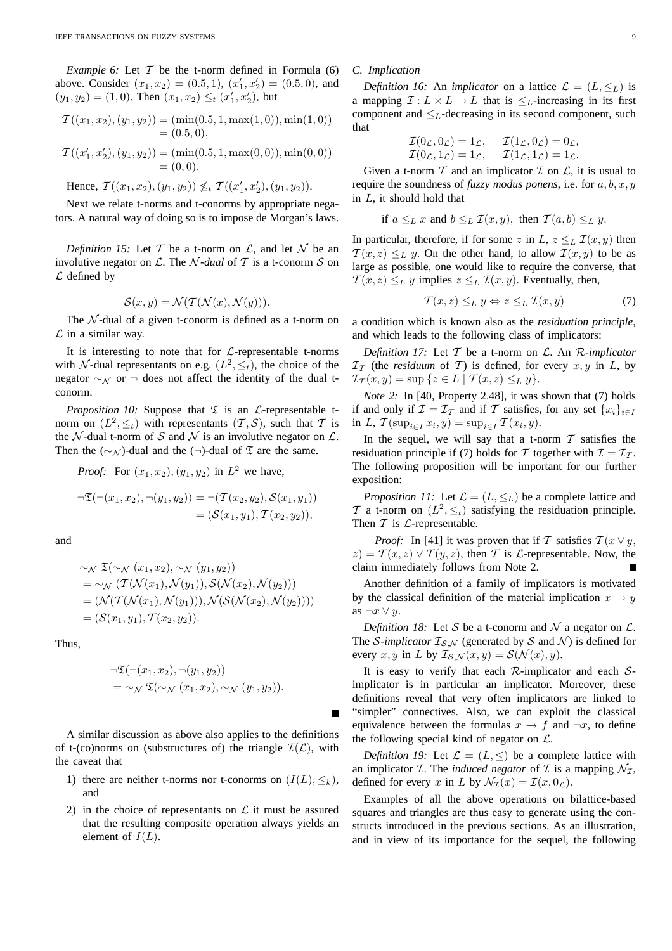*Example 6:* Let  $T$  be the t-norm defined in Formula (6) above. Consider  $(x_1, x_2) = (0.5, 1), (x'_1, x'_2) = (0.5, 0),$  and  $(y_1, y_2) = (1, 0)$ . Then  $(x_1, x_2) \leq_t (x'_1, x'_2)$ , but

$$
T((x_1, x_2), (y_1, y_2)) = (\min(0.5, 1, \max(1, 0)), \min(1, 0))
$$
  
= (0.5, 0),

$$
T((x'_1, x'_2), (y_1, y_2)) = (\min(0.5, 1, \max(0, 0)), \min(0, 0))
$$
  
= (0, 0).

Hence,  $T((x_1, x_2), (y_1, y_2)) \nleq_t T((x'_1, x'_2), (y_1, y_2)).$ 

Next we relate t-norms and t-conorms by appropriate negators. A natural way of doing so is to impose de Morgan's laws.

*Definition 15:* Let  $T$  be a t-norm on  $\mathcal{L}$ , and let  $\mathcal{N}$  be an involutive negator on  $\mathcal{L}$ . The *N*-dual of  $\mathcal{T}$  is a t-conorm  $\mathcal{S}$  on  $\mathcal L$  defined by

$$
\mathcal{S}(x, y) = \mathcal{N}(\mathcal{T}(\mathcal{N}(x), \mathcal{N}(y))).
$$

The  $\mathcal N$ -dual of a given t-conorm is defined as a t-norm on  $\mathcal L$  in a similar way.

It is interesting to note that for  $\mathcal{L}$ -representable t-norms with N-dual representants on e.g.  $(L^2, \leq_t)$ , the choice of the negator  $\sim$ N or  $\sim$  does not affect the identity of the dual tconorm.

*Proposition 10:* Suppose that  $\mathfrak T$  is an  $\mathcal L$ -representable tnorm on  $(L^2, \leq_t)$  with representants  $(\mathcal{T}, \mathcal{S})$ , such that  $\mathcal T$  is the N-dual t-norm of S and N is an involutive negator on  $\mathcal{L}$ . Then the ( $\sim_{\mathcal{N}}$ )-dual and the ( $\neg$ )-dual of  $\mathfrak T$  are the same.

*Proof:* For 
$$
(x_1, x_2), (y_1, y_2)
$$
 in  $L^2$  we have,  
\n
$$
\neg \mathfrak{T}(\neg(x_1, x_2), \neg(y_1, y_2)) = \neg(\mathcal{T}(x_2, y_2), \mathcal{S}(x_1, y_1))
$$
\n
$$
= (\mathcal{S}(x_1, y_1), \mathcal{T}(x_2, y_2)),
$$

and

$$
\sim_{\mathcal{N}} \mathfrak{T}(\sim_{\mathcal{N}} (x_1, x_2), \sim_{\mathcal{N}} (y_1, y_2))
$$
  
= 
$$
\sim_{\mathcal{N}} (\mathcal{T}(\mathcal{N}(x_1), \mathcal{N}(y_1)), \mathcal{S}(\mathcal{N}(x_2), \mathcal{N}(y_2)))
$$
  
= 
$$
(\mathcal{N}(\mathcal{T}(\mathcal{N}(x_1), \mathcal{N}(y_1))), \mathcal{N}(\mathcal{S}(\mathcal{N}(x_2), \mathcal{N}(y_2))))
$$
  
= 
$$
(\mathcal{S}(x_1, y_1), \mathcal{T}(x_2, y_2)).
$$

Thus,

$$
\neg \mathfrak{T}(\neg (x_1, x_2), \neg (y_1, y_2))
$$
  
=  $\sim_{\mathcal{N}} \mathfrak{T}(\sim_{\mathcal{N}} (x_1, x_2), \sim_{\mathcal{N}} (y_1, y_2)).$ 

A similar discussion as above also applies to the definitions of t-(co)norms on (substructures of) the triangle  $\mathcal{I}(\mathcal{L})$ , with the caveat that

- 1) there are neither t-norms nor t-conorms on  $(I(L), \leq_k)$ , and
- 2) in the choice of representants on  $\mathcal L$  it must be assured that the resulting composite operation always yields an element of  $I(L)$ .

## *C. Implication*

*Definition 16:* An *implicator* on a lattice  $\mathcal{L} = (L, \leq_L)$  is a mapping  $\mathcal{I}: L \times L \to L$  that is  $\leq_L$ -increasing in its first component and  $\leq_L$ -decreasing in its second component, such that

$$
\mathcal{I}(0_{\mathcal{L}}, 0_{\mathcal{L}}) = 1_{\mathcal{L}}, \quad \mathcal{I}(1_{\mathcal{L}}, 0_{\mathcal{L}}) = 0_{\mathcal{L}}, \mathcal{I}(0_{\mathcal{L}}, 1_{\mathcal{L}}) = 1_{\mathcal{L}}, \quad \mathcal{I}(1_{\mathcal{L}}, 1_{\mathcal{L}}) = 1_{\mathcal{L}}.
$$

Given a t-norm  $T$  and an implicator  $T$  on  $\mathcal{L}$ , it is usual to require the soundness of *fuzzy modus ponens*, i.e. for  $a, b, x, y$ in L, it should hold that

if 
$$
a \leq_L x
$$
 and  $b \leq_L \mathcal{I}(x, y)$ , then  $\mathcal{T}(a, b) \leq_L y$ .

In particular, therefore, if for some z in L,  $z \leq_L T(x, y)$  then  $T(x, z) \leq_L y$ . On the other hand, to allow  $T(x, y)$  to be as large as possible, one would like to require the converse, that  $T(x, z) \leq_L y$  implies  $z \leq_L T(x, y)$ . Eventually, then,

$$
\mathcal{T}(x, z) \leq_L y \Leftrightarrow z \leq_L \mathcal{I}(x, y) \tag{7}
$$

a condition which is known also as the *residuation principle*, and which leads to the following class of implicators:

*Definition 17:* Let T be a t-norm on L. An R*-implicator*  $\mathcal{I}_{\mathcal{T}}$  (the *residuum* of  $\mathcal{T}$ ) is defined, for every  $x, y$  in  $L$ , by  $\mathcal{I}_{\mathcal{T}}(x,y) = \sup \{z \in L \mid \mathcal{T}(x,z) \leq_L y\}.$ 

*Note 2:* In [40, Property 2.48], it was shown that (7) holds if and only if  $\mathcal{I} = \mathcal{I}_{\mathcal{T}}$  and if  $\mathcal{T}$  satisfies, for any set  $\{x_i\}_{i \in I}$ in L,  $\mathcal{T}(\sup_{i \in I} x_i, y) = \sup_{i \in I} \mathcal{T}(x_i, y)$ .

In the sequel, we will say that a t-norm  $T$  satisfies the residuation principle if (7) holds for T together with  $\mathcal{I} = \mathcal{I}_{\mathcal{T}}$ . The following proposition will be important for our further exposition:

*Proposition 11:* Let  $\mathcal{L} = (L, \leq_L)$  be a complete lattice and T a t-norm on  $(L^2, \leq_t)$  satisfying the residuation principle. Then  $T$  is  $L$ -representable.

*Proof:* In [41] it was proven that if T satisfies  $T(x \vee y,$  $z$ ) =  $T(x, z) \vee T(y, z)$ , then T is *L*-representable. Now, the claim immediately follows from Note 2.

Another definition of a family of implicators is motivated by the classical definition of the material implication  $x \rightarrow y$ as  $\neg x \lor y$ .

*Definition 18:* Let S be a t-conorm and N a negator on  $\mathcal{L}$ . The *S*-implicator  $I_{S,N}$  (generated by *S* and *N*) is defined for every x, y in L by  $\mathcal{I}_{\mathcal{S},\mathcal{N}}(x,y) = \mathcal{S}(\mathcal{N}(x), y)$ .

It is easy to verify that each  $R$ -implicator and each  $S$ implicator is in particular an implicator. Moreover, these definitions reveal that very often implicators are linked to "simpler" connectives. Also, we can exploit the classical equivalence between the formulas  $x \to f$  and  $\neg x$ , to define the following special kind of negator on  $\mathcal{L}$ .

*Definition 19:* Let  $\mathcal{L} = (L, \leq)$  be a complete lattice with an implicator *I*. The *induced negator* of *I* is a mapping  $\mathcal{N}_{\mathcal{I}}$ , defined for every x in L by  $\mathcal{N}_{\mathcal{I}}(x) = \mathcal{I}(x, 0_{\mathcal{L}})$ .

Examples of all the above operations on bilattice-based squares and triangles are thus easy to generate using the constructs introduced in the previous sections. As an illustration, and in view of its importance for the sequel, the following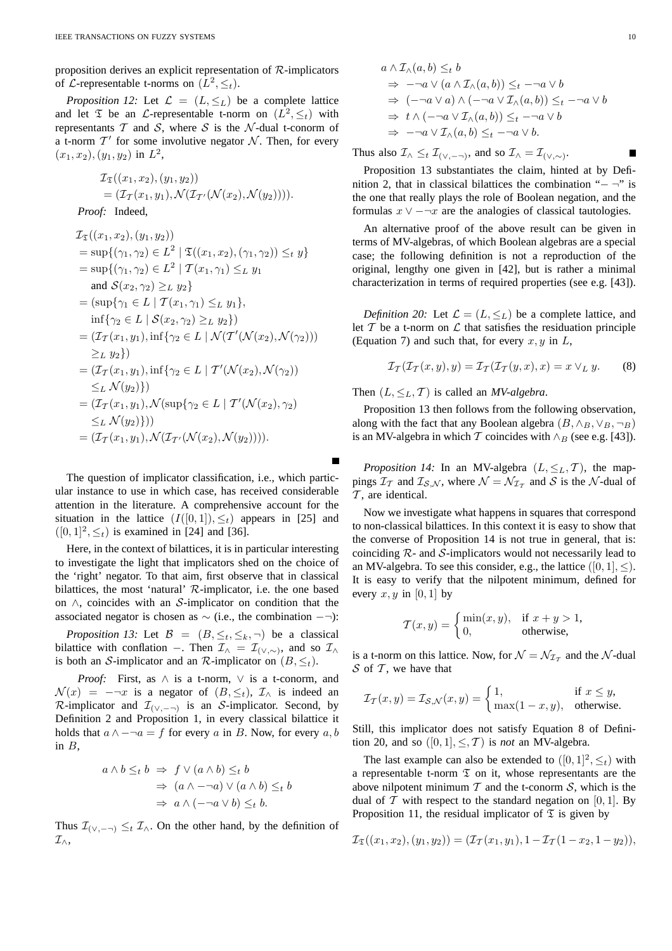proposition derives an explicit representation of  $\mathcal{R}$ -implicators of *L*-representable t-norms on  $(L^2, \leq_t)$ .

*Proposition 12:* Let  $\mathcal{L} = (L, \leq_L)$  be a complete lattice and let  $\mathfrak T$  be an  $\mathcal L$ -representable t-norm on  $(L^2, \leq_t)$  with representants  $T$  and  $S$ , where  $S$  is the  $N$ -dual t-conorm of a t-norm  $T'$  for some involutive negator N. Then, for every  $(x_1, x_2), (y_1, y_2)$  in  $L^2$ ,

$$
\mathcal{I}_{\mathfrak{T}}((x_1, x_2), (y_1, y_2))
$$
  
=  $(\mathcal{I}_{\mathcal{T}}(x_1, y_1), \mathcal{N}(\mathcal{I}_{\mathcal{T}'}(\mathcal{N}(x_2), \mathcal{N}(y_2))))$ .

*Proof:* Indeed,

$$
\mathcal{I}_{\mathfrak{T}}((x_1, x_2), (y_1, y_2))
$$
\n
$$
= \sup\{(\gamma_1, \gamma_2) \in L^2 \mid \mathfrak{T}((x_1, x_2), (\gamma_1, \gamma_2)) \leq_t y\}
$$
\n
$$
= \sup\{(\gamma_1, \gamma_2) \in L^2 \mid \mathfrak{T}(x_1, \gamma_1) \leq_L y_1
$$
\nand  $\mathcal{S}(x_2, \gamma_2) \geq_L y_2\}$ \n
$$
= (\sup\{\gamma_1 \in L \mid \mathcal{T}(x_1, \gamma_1) \leq_L y_1\},
$$
\n
$$
\inf\{\gamma_2 \in L \mid \mathcal{S}(x_2, \gamma_2) \geq_L y_2\})
$$
\n
$$
= (\mathcal{I}_{\mathcal{T}}(x_1, y_1), \inf\{\gamma_2 \in L \mid \mathcal{N}(\mathcal{T}'(\mathcal{N}(x_2), \mathcal{N}(\gamma_2)))\}
$$
\n
$$
\geq_L y_2\})
$$
\n
$$
= (\mathcal{I}_{\mathcal{T}}(x_1, y_1), \inf\{\gamma_2 \in L \mid \mathcal{T}'(\mathcal{N}(x_2), \mathcal{N}(\gamma_2))\}
$$
\n
$$
\leq_L \mathcal{N}(y_2)\})
$$
\n
$$
= (\mathcal{I}_{\mathcal{T}}(x_1, y_1), \mathcal{N}(\sup\{\gamma_2 \in L \mid \mathcal{T}'(\mathcal{N}(x_2), \gamma_2)\}
$$
\n
$$
\leq_L \mathcal{N}(y_2)\}))
$$
\n
$$
= (\mathcal{I}_{\mathcal{T}}(x_1, y_1), \mathcal{N}(\mathcal{I}_{\mathcal{T}'}(\mathcal{N}(x_2), \mathcal{N}(y_2))))
$$

The question of implicator classification, i.e., which particular instance to use in which case, has received considerable attention in the literature. A comprehensive account for the situation in the lattice  $(I([0, 1]), \leq_t)$  appears in [25] and  $([0, 1]^2, \leq_t)$  is examined in [24] and [36].

Here, in the context of bilattices, it is in particular interesting to investigate the light that implicators shed on the choice of the 'right' negator. To that aim, first observe that in classical bilattices, the most 'natural' R-implicator, i.e. the one based on ∧, coincides with an S-implicator on condition that the associated negator is chosen as  $\sim$  (i.e., the combination  $-\neg$ ):

*Proposition 13:* Let  $\mathcal{B} = (B, \leq_t, \leq_k, \neg)$  be a classical bilattice with conflation –. Then  $\mathcal{I}_{\wedge} = \mathcal{I}_{(\vee,\sim)}$ , and so  $\mathcal{I}_{\wedge}$ is both an S-implicator and an R-implicator on  $(B, \leq_t)$ .

*Proof:* First, as ∧ is a t-norm, ∨ is a t-conorm, and  $\mathcal{N}(x) = -\neg x$  is a negator of  $(B, \leq_t)$ ,  $\mathcal{I}_\wedge$  is indeed an R-implicator and  $\mathcal{I}_{(\vee, -\neg)}$  is an S-implicator. Second, by Definition 2 and Proposition 1, in every classical bilattice it holds that  $a \wedge -\neg a = f$  for every a in B. Now, for every a, b in  $B$ .

$$
a \wedge b \leq_t b \implies f \vee (a \wedge b) \leq_t b
$$
  

$$
\implies (a \wedge \neg \neg a) \vee (a \wedge b) \leq_t b
$$
  

$$
\implies a \wedge (\neg \neg a \vee b) \leq_t b.
$$

Thus  $\mathcal{I}_{(\vee,-\neg)} \leq_t \mathcal{I}_{\wedge}$ . On the other hand, by the definition of  $\mathcal{I}_{\wedge},$ 

$$
a \wedge \mathcal{I}_{\wedge}(a, b) \leq_{t} b
$$
  
\n
$$
\Rightarrow -\neg a \vee (a \wedge \mathcal{I}_{\wedge}(a, b)) \leq_{t} -\neg a \vee b
$$
  
\n
$$
\Rightarrow (-\neg a \vee a) \wedge (-\neg a \vee \mathcal{I}_{\wedge}(a, b)) \leq_{t} -\neg a \vee b
$$
  
\n
$$
\Rightarrow t \wedge (-\neg a \vee \mathcal{I}_{\wedge}(a, b)) \leq_{t} -\neg a \vee b
$$
  
\n
$$
\Rightarrow -\neg a \vee \mathcal{I}_{\wedge}(a, b) \leq_{t} -\neg a \vee b.
$$

Thus also  $\mathcal{I}_{\wedge} \leq_t \mathcal{I}_{(\vee, -\neg)}$ , and so  $\mathcal{I}_{\wedge} = \mathcal{I}_{(\vee, \sim)}$ .

Proposition 13 substantiates the claim, hinted at by Definition 2, that in classical bilattices the combination " $-$  ¬" is the one that really plays the role of Boolean negation, and the formulas  $x \vee -\neg x$  are the analogies of classical tautologies.

An alternative proof of the above result can be given in terms of MV-algebras, of which Boolean algebras are a special case; the following definition is not a reproduction of the original, lengthy one given in [42], but is rather a minimal characterization in terms of required properties (see e.g. [43]).

*Definition 20:* Let  $\mathcal{L} = (L, \leq_L)$  be a complete lattice, and let  $T$  be a t-norm on  $\mathcal L$  that satisfies the residuation principle (Equation 7) and such that, for every  $x, y$  in  $L$ ,

$$
\mathcal{I}_{\mathcal{T}}(\mathcal{I}_{\mathcal{T}}(x,y),y) = \mathcal{I}_{\mathcal{T}}(\mathcal{I}_{\mathcal{T}}(y,x),x) = x \vee_L y.
$$
 (8)

Then  $(L, \leq_L, T)$  is called an *MV-algebra*.

Proposition 13 then follows from the following observation, along with the fact that any Boolean algebra  $(B, \wedge_B, \vee_B, \neg_B)$ is an MV-algebra in which  $\mathcal T$  coincides with  $\wedge_B$  (see e.g. [43]).

*Proposition 14:* In an MV-algebra  $(L, \leq_L, T)$ , the mappings  $\mathcal{I}_{\mathcal{T}}$  and  $\mathcal{I}_{\mathcal{S},\mathcal{N}}$ , where  $\mathcal{N} = \mathcal{N}_{\mathcal{I}_{\mathcal{T}}}$  and  $\mathcal{S}$  is the  $\mathcal{N}$ -dual of  $\mathcal T$ , are identical.

Now we investigate what happens in squares that correspond to non-classical bilattices. In this context it is easy to show that the converse of Proposition 14 is not true in general, that is: coinciding  $\mathcal{R}$ - and  $\mathcal{S}$ -implicators would not necessarily lead to an MV-algebra. To see this consider, e.g., the lattice  $([0, 1], <)$ . It is easy to verify that the nilpotent minimum, defined for every  $x, y$  in [0, 1] by

$$
\mathcal{T}(x, y) = \begin{cases} \min(x, y), & \text{if } x + y > 1, \\ 0, & \text{otherwise,} \end{cases}
$$

is a t-norm on this lattice. Now, for  $\mathcal{N} = \mathcal{N}_{\mathcal{I}_{\mathcal{T}}}$  and the  $\mathcal{N}$ -dual  $S$  of  $T$ , we have that

$$
\mathcal{I}_{\mathcal{T}}(x,y) = \mathcal{I}_{\mathcal{S},\mathcal{N}}(x,y) = \begin{cases} 1, & \text{if } x \le y, \\ \max(1-x,y), & \text{otherwise.} \end{cases}
$$

Still, this implicator does not satisfy Equation 8 of Definition 20, and so  $([0, 1], \leq, \mathcal{T})$  is *not* an MV-algebra.

The last example can also be extended to  $([0, 1]^2, \leq_t)$  with a representable t-norm  $\mathfrak T$  on it, whose representants are the above nilpotent minimum  $T$  and the t-conorm  $S$ , which is the dual of  $T$  with respect to the standard negation on [0, 1]. By Proposition 11, the residual implicator of  $\mathfrak T$  is given by

$$
\mathcal{I}_{\mathfrak{T}}((x_1,x_2),(y_1,y_2)) = (\mathcal{I}_{\mathcal{T}}(x_1,y_1), 1 - \mathcal{I}_{\mathcal{T}}(1 - x_2, 1 - y_2)),
$$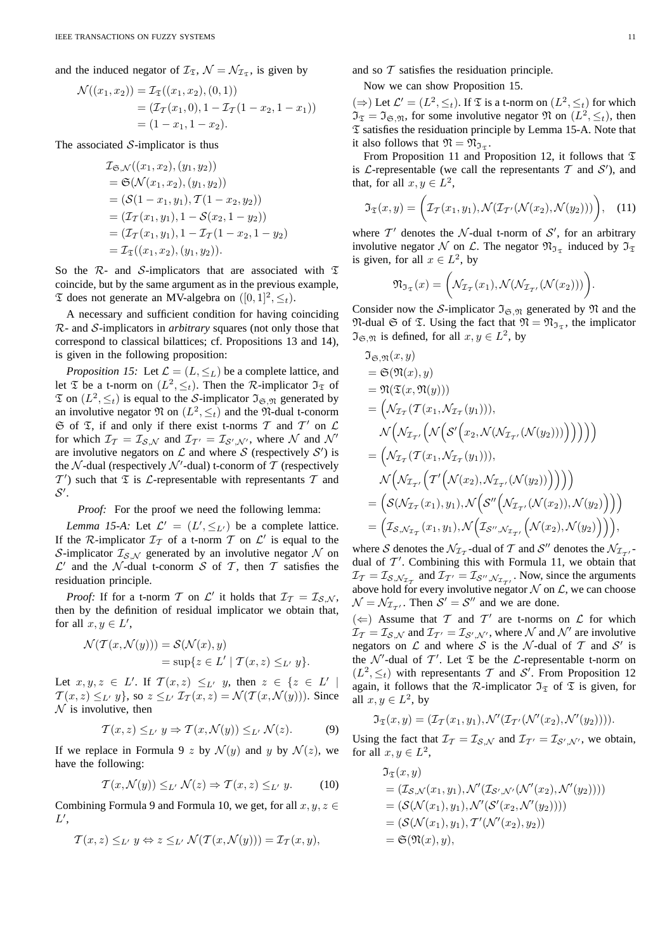and the induced negator of  $\mathcal{I}_{\mathfrak{T}}$ ,  $\mathcal{N} = \mathcal{N}_{\mathcal{I}_{\mathfrak{T}}}$ , is given by

$$
\mathcal{N}((x_1, x_2)) = \mathcal{I}_{\mathfrak{T}}((x_1, x_2), (0, 1))
$$
  
=  $(\mathcal{I}_{\mathcal{T}}(x_1, 0), 1 - \mathcal{I}_{\mathcal{T}}(1 - x_2, 1 - x_1))$   
=  $(1 - x_1, 1 - x_2).$ 

The associated  $S$ -implicator is thus

$$
T_{\mathfrak{S},\mathcal{N}}((x_1, x_2), (y_1, y_2))
$$
  
=  $\mathfrak{S}(\mathcal{N}(x_1, x_2), (y_1, y_2))$   
=  $(\mathcal{S}(1 - x_1, y_1), \mathcal{T}(1 - x_2, y_2))$   
=  $(\mathcal{I}_{\mathcal{T}}(x_1, y_1), 1 - \mathcal{S}(x_2, 1 - y_2))$   
=  $(\mathcal{I}_{\mathcal{T}}(x_1, y_1), 1 - \mathcal{I}_{\mathcal{T}}(1 - x_2, 1 - y_2))$   
=  $\mathcal{I}_{\mathcal{T}}((x_1, x_2), (y_1, y_2)).$ 

So the  $\mathcal{R}$ - and S-implicators that are associated with  $\mathfrak T$ coincide, but by the same argument as in the previous example,  $\mathfrak T$  does not generate an MV-algebra on  $([0, 1]^2, \leq_t)$ .

A necessary and sufficient condition for having coinciding R- and S-implicators in *arbitrary* squares (not only those that correspond to classical bilattices; cf. Propositions 13 and 14), is given in the following proposition:

*Proposition 15:* Let  $\mathcal{L} = (L, \leq_L)$  be a complete lattice, and let  $\mathfrak T$  be a t-norm on  $(L^2, \leq_t)$ . Then the R-implicator  $\mathfrak I_{\mathfrak T}$  of  $\mathfrak T$  on  $(L^2, \leq_t)$  is equal to the S-implicator  $\mathfrak I_{\mathfrak S,\mathfrak N}$  generated by an involutive negator  $\mathfrak N$  on  $(L^2, \leq_t)$  and the  $\mathfrak N$ -dual t-conorm  $G$  of  $\mathfrak T$ , if and only if there exist t-norms  $\mathcal T$  and  $\mathcal T'$  on  $\mathcal L$ for which  $\mathcal{I}_T = \mathcal{I}_{S,\mathcal{N}}$  and  $\mathcal{I}_{T'} = \mathcal{I}_{S',\mathcal{N}'},$  where  $\mathcal N$  and  $\mathcal N'$ are involutive negators on  $\mathcal L$  and where  $\mathcal S$  (respectively  $\mathcal S'$ ) is the  $\mathcal N$ -dual (respectively  $\mathcal N'$ -dual) t-conorm of  $\mathcal T$  (respectively  $T'$ ) such that  $\mathfrak T$  is  $\mathcal L$ -representable with representants  $T$  and  $\mathcal{S}^{\prime}$ .

*Proof:* For the proof we need the following lemma:

*Lemma 15-A:* Let  $\mathcal{L}' = (L', \leq_{L'})$  be a complete lattice. If the R-implicator  $\mathcal{I}_{\mathcal{T}}$  of a t-norm  $\mathcal T$  on  $\mathcal L'$  is equal to the S-implicator  $\mathcal{I}_{S,N}$  generated by an involutive negator N on  $\mathcal{L}'$  and the N-dual t-conorm S of T, then T satisfies the residuation principle.

*Proof:* If for a t-norm T on L' it holds that  $\mathcal{I}_T = \mathcal{I}_{S,N}$ , then by the definition of residual implicator we obtain that, for all  $x, y \in L'$ ,

$$
\mathcal{N}(\mathcal{T}(x,\mathcal{N}(y))) = \mathcal{S}(\mathcal{N}(x), y)
$$
  
=  $\sup\{z \in L' \mid \mathcal{T}(x,z) \leq_{L'} y\}.$ 

Let  $x, y, z \in L'$ . If  $\mathcal{T}(x, z) \leq_{L'} y$ , then  $z \in \{z \in L' \mid$  $T(x, z) \leq_{L'} y$ , so  $z \leq_{L'} \mathcal{I}_{\mathcal{T}}(x, z) = \mathcal{N}(\mathcal{T}(x, \mathcal{N}(y)))$ . Since  $N$  is involutive, then

$$
\mathcal{T}(x,z) \leq_{L'} y \Rightarrow \mathcal{T}(x,\mathcal{N}(y)) \leq_{L'} \mathcal{N}(z). \tag{9}
$$

If we replace in Formula 9 z by  $\mathcal{N}(y)$  and y by  $\mathcal{N}(z)$ , we have the following:

$$
\mathcal{T}(x,\mathcal{N}(y)) \leq_{L'} \mathcal{N}(z) \Rightarrow \mathcal{T}(x,z) \leq_{L'} y. \tag{10}
$$

Combining Formula 9 and Formula 10, we get, for all  $x, y, z \in$  $L',$ 

$$
\mathcal{T}(x,z) \leq_{L'} y \Leftrightarrow z \leq_{L'} \mathcal{N}(\mathcal{T}(x,\mathcal{N}(y))) = \mathcal{I}_{\mathcal{T}}(x,y),
$$

and so  $T$  satisfies the residuation principle.

Now we can show Proposition 15.

(⇒) Let  $\mathcal{L}' = (L^2, \leq_t)$ . If  $\mathfrak T$  is a t-norm on  $(L^2, \leq_t)$  for which  $\mathfrak{I}_{\mathfrak{T}} = \mathfrak{I}_{\mathfrak{S}, \mathfrak{N}}$ , for some involutive negator  $\mathfrak{N}$  on  $(L^2, \leq_t)$ , then  $\mathfrak T$  satisfies the residuation principle by Lemma 15-A. Note that it also follows that  $\mathfrak{N} = \mathfrak{N}_{\mathfrak{I}_{\mathfrak{T}}}$ .

From Proposition 11 and Proposition 12, it follows that  $\mathfrak T$ is  $\mathcal L$ -representable (we call the representants  $\mathcal T$  and  $\mathcal S'$ ), and that, for all  $x, y \in L^2$ ,

$$
\mathfrak{I}_{\mathfrak{T}}(x,y) = \bigg(\mathcal{I}_{\mathcal{T}}(x_1,y_1), \mathcal{N}(\mathcal{I}_{\mathcal{T}'}(\mathcal{N}(x_2),\mathcal{N}(y_2)))\bigg), \quad (11)
$$

where  $T'$  denotes the  $N$ -dual t-norm of  $S'$ , for an arbitrary involutive negator N on L. The negator  $\mathfrak{N}_{\mathfrak{I}_{\mathfrak{T}}}$  induced by  $\mathfrak{I}_{\mathfrak{T}}$ is given, for all  $x \in L^2$ , by

$$
\mathfrak{N}_{\mathfrak{T}_{\mathfrak{T}}}(x)=\bigg(\mathcal{N}_{\mathcal{I}_{\mathcal{T}}}(x_1),\mathcal{N}(\mathcal{N}_{\mathcal{I}_{\mathcal{T}'}}(\mathcal{N}(x_2)))\bigg)
$$

Consider now the S-implicator  $\mathfrak{I}_{\mathfrak{S},\mathfrak{N}}$  generated by  $\mathfrak{N}$  and the  $\mathfrak{N}$ -dual  $\mathfrak{S}$  of  $\mathfrak{T}$ . Using the fact that  $\mathfrak{N} = \mathfrak{N}_{\mathfrak{I}_{\mathfrak{T}}}$ , the implicator  $\mathfrak{I}_{\mathfrak{S},\mathfrak{N}}$  is defined, for all  $x, y \in L^2$ , by

$$
J_{\mathfrak{S},\mathfrak{N}}(x,y)
$$
  
\n
$$
= \mathfrak{S}(\mathfrak{N}(x),y)
$$
  
\n
$$
= \mathfrak{N}(\mathfrak{T}(x,\mathfrak{N}(y)))
$$
  
\n
$$
= \left(\mathcal{N}_{\mathcal{I}_{\mathcal{T}}}(\mathcal{T}(x_1,\mathcal{N}_{\mathcal{I}_{\mathcal{T}}}(y_1))),\right)
$$
  
\n
$$
\mathcal{N}\left(\mathcal{N}_{\mathcal{I}_{\mathcal{T}'}}\left(\mathcal{N}\left(\mathcal{S}'\left(x_2,\mathcal{N}(\mathcal{N}_{\mathcal{I}_{\mathcal{T}'}}(\mathcal{N}(y_2)))\right)\right)\right)\right))
$$
  
\n
$$
= \left(\mathcal{N}_{\mathcal{I}_{\mathcal{T}}}(\mathcal{T}(x_1,\mathcal{N}_{\mathcal{T}_{\mathcal{T}}}(y_1))),\right)
$$
  
\n
$$
\mathcal{N}\left(\mathcal{N}_{\mathcal{I}_{\mathcal{T}'}}\left(\mathcal{T}'\left(\mathcal{N}(x_2),\mathcal{N}_{\mathcal{T}_{\mathcal{T}'}}(\mathcal{N}(y_2))\right)\right)\right)\right)
$$
  
\n
$$
= \left(\mathcal{S}(\mathcal{N}_{\mathcal{T}_{\mathcal{T}}}(x_1),y_1),\mathcal{N}\left(\mathcal{S}''\left(\mathcal{N}_{\mathcal{T}_{\mathcal{T}'}}(\mathcal{N}(x_2)),\mathcal{N}(y_2)\right)\right)\right)
$$
  
\n
$$
= \left(\mathcal{I}_{\mathcal{S},\mathcal{N}_{\mathcal{T}_{\mathcal{T}}}}(x_1,y_1),\mathcal{N}\left(\mathcal{I}_{\mathcal{S}'',\mathcal{N}_{\mathcal{T}_{\mathcal{T}'}}}\left(\mathcal{N}(x_2),\mathcal{N}(y_2)\right)\right)\right),
$$

where S denotes the  $\mathcal{N}_{\mathcal{I}_{\mathcal{T}}}$ -dual of T and S'' denotes the  $\mathcal{N}_{\mathcal{I}_{\mathcal{T}'}}$ . dual of  $T'$ . Combining this with Formula 11, we obtain that  $\mathcal{I}_{\mathcal{T}} = \mathcal{I}_{\mathcal{S}, \mathcal{N}_{\mathcal{I}_{\mathcal{T}}}}$  and  $\mathcal{I}_{\mathcal{T}'} = \mathcal{I}_{\mathcal{S}'', \mathcal{N}_{\mathcal{I}_{\mathcal{T}'}}}$ . Now, since the arguments above hold for every involutive negator  $N$  on  $\mathcal{L}$ , we can choose  $\mathcal{N} = \mathcal{N}_{\mathcal{I}_{\mathcal{T}'}}$ . Then  $\mathcal{S}' = \mathcal{S}''$  and we are done.

 $(\Leftarrow)$  Assume that T and T' are t-norms on L for which  $\mathcal{I}_{\mathcal{T}} = \mathcal{I}_{\mathcal{S},\mathcal{N}}$  and  $\mathcal{I}_{\mathcal{T}'} = \mathcal{I}_{\mathcal{S}',\mathcal{N}'}$ , where  $\mathcal N$  and  $\mathcal N'$  are involutive negators on  $\mathcal L$  and where  $\mathcal S$  is the  $\mathcal N$ -dual of  $\mathcal T$  and  $\mathcal S'$  is the N'-dual of T'. Let  $\mathfrak T$  be the L-representable t-norm on  $(L^2, \leq_t)$  with representants T and S'. From Proposition 12 again, it follows that the R-implicator  $\mathfrak{I}_{\mathfrak{T}}$  of  $\mathfrak{T}$  is given, for all  $x, y \in L^2$ , by

$$
\mathfrak{I}_{\mathfrak{T}}(x,y)=(\mathcal{I}_{\mathcal{T}}(x_1,y_1),\mathcal{N}'(\mathcal{I}_{\mathcal{T}'}(\mathcal{N}'(x_2),\mathcal{N}'(y_2))))
$$

Using the fact that  $\mathcal{I}_T = \mathcal{I}_{S,N}$  and  $\mathcal{I}_{T'} = \mathcal{I}_{S',N'}$ , we obtain, for all  $x, y \in L^2$ ,

$$
\begin{aligned}\n\mathfrak{I}_{\mathfrak{T}}(x,y) \\
&= (\mathcal{I}_{\mathcal{S},\mathcal{N}}(x_1,y_1),\mathcal{N}'(\mathcal{I}_{\mathcal{S}',\mathcal{N}'}(\mathcal{N}'(x_2),\mathcal{N}'(y_2)))) \\
&= (\mathcal{S}(\mathcal{N}(x_1),y_1),\mathcal{N}'(\mathcal{S}'(x_2,\mathcal{N}'(y_2)))) \\
&= (\mathcal{S}(\mathcal{N}(x_1),y_1),\mathcal{T}'(\mathcal{N}'(x_2),y_2)) \\
&= \mathfrak{S}(\mathfrak{N}(x),y),\n\end{aligned}
$$

.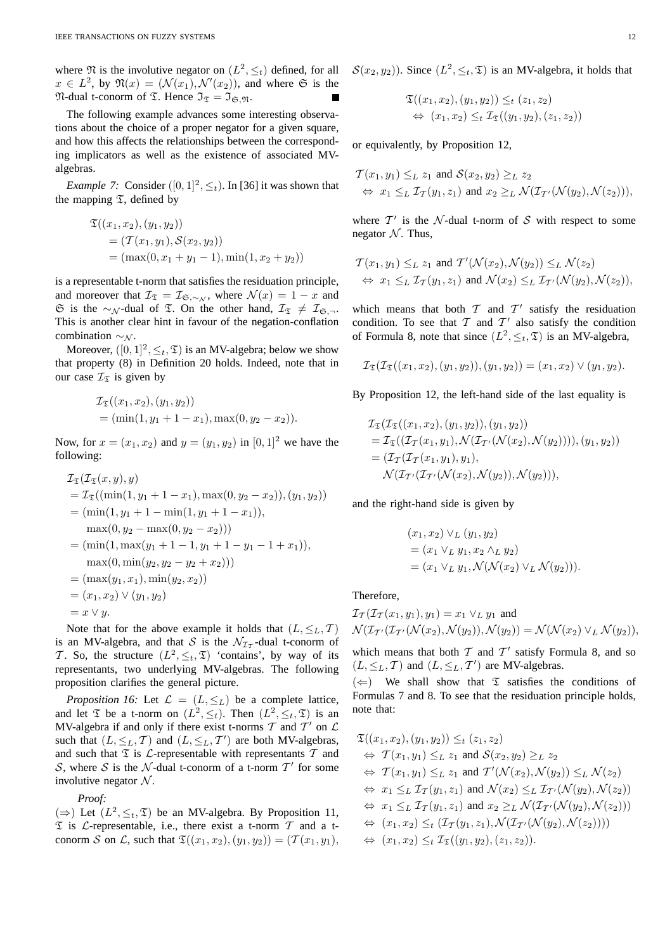where  $\Re$  is the involutive negator on  $(L^2, \leq_t)$  defined, for all  $x \in L^2$ , by  $\mathfrak{N}(x) = (\mathcal{N}(x_1), \mathcal{N}'(x_2))$ , and where G is the  $\mathfrak{N}\text{-}\text{dual t-conorm of }\mathfrak{T}$ . Hence  $\mathfrak{I}_{\mathfrak{T}} = \mathfrak{I}_{\mathfrak{S},\mathfrak{N}}$ .

The following example advances some interesting observations about the choice of a proper negator for a given square, and how this affects the relationships between the corresponding implicators as well as the existence of associated MValgebras.

*Example 7:* Consider  $([0, 1]^2, \leq_t)$ . In [36] it was shown that the mapping  $\mathfrak T$ , defined by

$$
\mathfrak{T}((x_1, x_2), (y_1, y_2))
$$
  
=  $(\mathcal{T}(x_1, y_1), \mathcal{S}(x_2, y_2))$   
=  $(\max(0, x_1 + y_1 - 1), \min(1, x_2 + y_2))$ 

is a representable t-norm that satisfies the residuation principle, and moreover that  $\mathcal{I}_{\mathfrak{T}} = \mathcal{I}_{\mathfrak{S}, \sim \mathcal{N}}$ , where  $\mathcal{N}(x) = 1 - x$  and G is the ∼<sub>N</sub>-dual of  $\Im$ . On the other hand,  $\mathcal{I}_{\Im}$  ≠  $\mathcal{I}_{\Im, \neg}$ . This is another clear hint in favour of the negation-conflation combination  $\sim_N$ .

Moreover,  $([0, 1]^2, \leq_t, \mathfrak{T})$  is an MV-algebra; below we show that property (8) in Definition 20 holds. Indeed, note that in our case  $\mathcal{I}_{\mathfrak{T}}$  is given by

$$
\mathcal{I}_{\mathfrak{T}}((x_1, x_2), (y_1, y_2))
$$
  
= (min(1, y\_1 + 1 - x\_1), max(0, y\_2 - x\_2)).

Now, for  $x = (x_1, x_2)$  and  $y = (y_1, y_2)$  in  $[0, 1]^2$  we have the following:

$$
\mathcal{I}_{\mathfrak{T}}(\mathcal{I}_{\mathfrak{T}}(x, y), y)
$$
\n
$$
= \mathcal{I}_{\mathfrak{T}}((\min(1, y_1 + 1 - x_1), \max(0, y_2 - x_2)), (y_1, y_2))
$$
\n
$$
= (\min(1, y_1 + 1 - \min(1, y_1 + 1 - x_1)),
$$
\n
$$
\max(0, y_2 - \max(0, y_2 - x_2)))
$$
\n
$$
= (\min(1, \max(y_1 + 1 - 1, y_1 + 1 - y_1 - 1 + x_1)),
$$
\n
$$
\max(0, \min(y_2, y_2 - y_2 + x_2)))
$$
\n
$$
= (\max(y_1, x_1), \min(y_2, x_2))
$$
\n
$$
= (x_1, x_2) \vee (y_1, y_2)
$$
\n
$$
= x \vee y.
$$

Note that for the above example it holds that  $(L, \leq_L, T)$ is an MV-algebra, and that S is the  $\mathcal{N}_{\mathcal{I}_{\mathcal{T}}}$ -dual t-conorm of T. So, the structure  $(L^2, \leq_t, \mathfrak{T})$  'contains', by way of its representants, two underlying MV-algebras. The following proposition clarifies the general picture.

*Proposition 16:* Let  $\mathcal{L} = (L, \leq_L)$  be a complete lattice, and let  $\mathfrak T$  be a t-norm on  $(L^2, \leq_t)$ . Then  $(L^2, \leq_t, \mathfrak T)$  is an MV-algebra if and only if there exist t-norms  $T$  and  $T'$  on  $\mathcal L$ such that  $(L, \leq_L, T)$  and  $(L, \leq_L, T')$  are both MV-algebras, and such that  $\mathfrak T$  is  $\mathcal L$ -representable with representants  $\mathcal T$  and S, where S is the N-dual t-conorm of a t-norm  $T'$  for some involutive negator  $N$ .

*Proof:*

(⇒) Let  $(L^2, \leq_t, \mathfrak{T})$  be an MV-algebra. By Proposition 11,  $\mathfrak T$  is  $\mathcal L$ -representable, i.e., there exist a t-norm  $\mathcal T$  and a tconorm S on L, such that  $\mathfrak{T}((x_1, x_2), (y_1, y_2)) = (\mathcal{T}(x_1, y_1),$   $S(x_2, y_2)$ ). Since  $(L^2, \leq_t, \mathfrak{T})$  is an MV-algebra, it holds that

$$
\mathfrak{T}((x_1, x_2), (y_1, y_2)) \leq_t (z_1, z_2)
$$
  

$$
\Leftrightarrow (x_1, x_2) \leq_t \mathcal{I}_{\mathfrak{T}}((y_1, y_2), (z_1, z_2))
$$

or equivalently, by Proposition 12,

$$
\mathcal{T}(x_1, y_1) \leq_L z_1 \text{ and } \mathcal{S}(x_2, y_2) \geq_L z_2
$$
  
\n
$$
\Leftrightarrow x_1 \leq_L \mathcal{T}_{\mathcal{T}}(y_1, z_1) \text{ and } x_2 \geq_L \mathcal{N}(\mathcal{T}_{\mathcal{T}'}(\mathcal{N}(y_2), \mathcal{N}(z_2))),
$$

where  $T'$  is the N-dual t-norm of S with respect to some negator  $N$ . Thus,

$$
\mathcal{T}(x_1, y_1) \leq_L z_1 \text{ and } \mathcal{T}'(\mathcal{N}(x_2), \mathcal{N}(y_2)) \leq_L \mathcal{N}(z_2)
$$
  
\n
$$
\Leftrightarrow x_1 \leq_L \mathcal{I}_{\mathcal{T}}(y_1, z_1) \text{ and } \mathcal{N}(x_2) \leq_L \mathcal{I}_{\mathcal{T}'}(\mathcal{N}(y_2), \mathcal{N}(z_2)),
$$

which means that both  $T$  and  $T'$  satisfy the residuation condition. To see that  $T$  and  $T'$  also satisfy the condition of Formula 8, note that since  $(L^2, \leq_t, \mathfrak{T})$  is an MV-algebra,

$$
\mathcal{I}_{\mathfrak{T}}(\mathcal{I}_{\mathfrak{T}}((x_1,x_2),(y_1,y_2)),(y_1,y_2))=(x_1,x_2)\vee(y_1,y_2).
$$

By Proposition 12, the left-hand side of the last equality is

$$
\mathcal{I}_{\mathfrak{T}}(\mathcal{I}_{\mathfrak{T}}((x_1, x_2), (y_1, y_2)), (y_1, y_2))
$$
\n
$$
= \mathcal{I}_{\mathfrak{T}}((\mathcal{I}_{\mathcal{T}}(x_1, y_1), \mathcal{N}(\mathcal{I}_{\mathcal{T}'}(\mathcal{N}(x_2), \mathcal{N}(y_2)))))(y_1, y_2))
$$
\n
$$
= (\mathcal{I}_{\mathcal{T}}(\mathcal{I}_{\mathcal{T}}(x_1, y_1), y_1),
$$
\n
$$
\mathcal{N}(\mathcal{I}_{\mathcal{T}'}(\mathcal{I}_{\mathcal{T}'}(\mathcal{N}(x_2), \mathcal{N}(y_2))), \mathcal{N}(y_2))),
$$

and the right-hand side is given by

$$
(x_1, x_2) \vee_L (y_1, y_2)
$$
  
=  $(x_1 \vee_L y_1, x_2 \wedge_L y_2)$   
=  $(x_1 \vee_L y_1, \mathcal{N}(\mathcal{N}(x_2) \vee_L \mathcal{N}(y_2))).$ 

### Therefore,

$$
\mathcal{I}_{\mathcal{T}}(\mathcal{I}_{\mathcal{T}}(x_1, y_1), y_1) = x_1 \vee_L y_1 \text{ and}
$$
  

$$
\mathcal{N}(\mathcal{I}_{\mathcal{T}'}(\mathcal{I}_{\mathcal{T}'}(\mathcal{N}(x_2), \mathcal{N}(y_2)), \mathcal{N}(y_2)) = \mathcal{N}(\mathcal{N}(x_2) \vee_L \mathcal{N}(y_2)),
$$

which means that both  $T$  and  $T'$  satisfy Formula 8, and so  $(L, \leq_L, T)$  and  $(L, \leq_L, T')$  are MV-algebras.

 $(\Leftarrow)$  We shall show that  $\mathfrak T$  satisfies the conditions of Formulas 7 and 8. To see that the residuation principle holds, note that:

$$
\mathfrak{T}((x_1, x_2), (y_1, y_2)) \leq_t (z_1, z_2)
$$
  
\n
$$
\Leftrightarrow T(x_1, y_1) \leq_t z_1 \text{ and } \mathcal{S}(x_2, y_2) \geq_t z_2
$$
  
\n
$$
\Leftrightarrow T(x_1, y_1) \leq_t z_1 \text{ and } T'(\mathcal{N}(x_2), \mathcal{N}(y_2)) \leq_t \mathcal{N}(z_2)
$$
  
\n
$$
\Leftrightarrow x_1 \leq_t \mathcal{I}_T(y_1, z_1) \text{ and } \mathcal{N}(x_2) \leq_t \mathcal{I}_{T'}(\mathcal{N}(y_2), \mathcal{N}(z_2))
$$
  
\n
$$
\Leftrightarrow x_1 \leq_t \mathcal{I}_T(y_1, z_1) \text{ and } x_2 \geq_t \mathcal{N}(\mathcal{I}_{T'}(\mathcal{N}(y_2), \mathcal{N}(z_2)))
$$
  
\n
$$
\Leftrightarrow (x_1, x_2) \leq_t (\mathcal{I}_T(y_1, z_1), \mathcal{N}(\mathcal{I}_{T'}(\mathcal{N}(y_2), \mathcal{N}(z_2))))
$$
  
\n
$$
\Leftrightarrow (x_1, x_2) \leq_t \mathcal{I}_{\mathfrak{T}}((y_1, y_2), (z_1, z_2)).
$$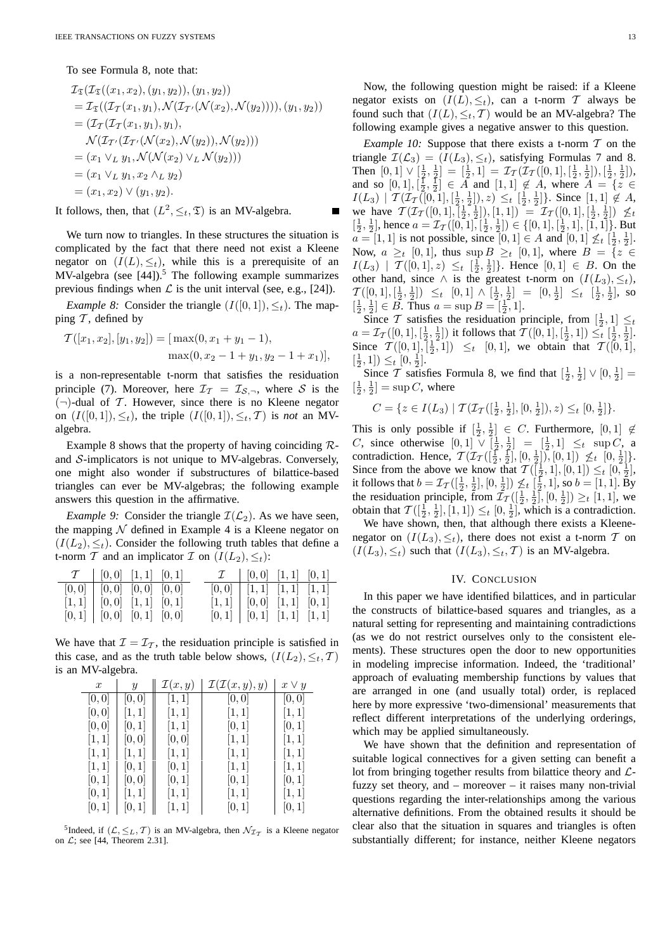To see Formula 8, note that:

$$
\mathcal{I}_{\mathfrak{T}}(\mathcal{I}_{\mathfrak{T}}((x_1, x_2), (y_1, y_2)), (y_1, y_2))
$$
\n
$$
= \mathcal{I}_{\mathfrak{T}}((\mathcal{I}_{\mathcal{T}}(x_1, y_1), \mathcal{N}(\mathcal{I}_{\mathcal{T}'}(\mathcal{N}(x_2), \mathcal{N}(y_2))))), (y_1, y_2))
$$
\n
$$
= (\mathcal{I}_{\mathcal{T}}(\mathcal{I}_{\mathcal{T}}(x_1, y_1), y_1),
$$
\n
$$
\mathcal{N}(\mathcal{I}_{\mathcal{T}'}(\mathcal{I}_{\mathcal{T}'}(\mathcal{N}(x_2), \mathcal{N}(y_2)), \mathcal{N}(y_2)))
$$
\n
$$
= (x_1 \vee_L y_1, \mathcal{N}(\mathcal{N}(x_2) \vee_L \mathcal{N}(y_2)))
$$
\n
$$
= (x_1 \vee_L y_1, x_2 \wedge_L y_2)
$$
\n
$$
= (x_1, x_2) \vee (y_1, y_2).
$$

It follows, then, that  $(L^2, \leq_t, \mathfrak{T})$  is an MV-algebra.

We turn now to triangles. In these structures the situation is complicated by the fact that there need not exist a Kleene negator on  $(I(L), \leq_t)$ , while this is a prerequisite of an MV-algebra (see  $[44]$ ).<sup>5</sup> The following example summarizes previous findings when  $\mathcal L$  is the unit interval (see, e.g., [24]).

*Example 8:* Consider the triangle  $(I([0, 1]), \leq_t)$ . The mapping  $\mathcal T$ , defined by

$$
\mathcal{T}([x_1, x_2], [y_1, y_2]) = [\max(0, x_1 + y_1 - 1),
$$
  

$$
\max(0, x_2 - 1 + y_1, y_2 - 1 + x_1)],
$$

is a non-representable t-norm that satisfies the residuation principle (7). Moreover, here  $\mathcal{I}_T = \mathcal{I}_{S,\neg}$ , where S is the  $(\neg)$ -dual of T. However, since there is no Kleene negator on  $(I([0, 1]), \leq_t)$ , the triple  $(I([0, 1]), \leq_t, T)$  is *not* an MValgebra.

Example 8 shows that the property of having coinciding  $\mathcal{R}$ and S-implicators is not unique to MV-algebras. Conversely, one might also wonder if substructures of bilattice-based triangles can ever be MV-algebras; the following example answers this question in the affirmative.

*Example 9:* Consider the triangle  $\mathcal{I}(\mathcal{L}_2)$ . As we have seen, the mapping  $N$  defined in Example 4 is a Kleene negator on  $(I(L_2), \leq_t)$ . Consider the following truth tables that define a t-norm T and an implicator T on  $(I(L_2), \leq_t)$ :

|                                 | $\mathcal{T} \begin{bmatrix} 0,0 \end{bmatrix}$ $[1,1] \begin{bmatrix} 0,1 \end{bmatrix}$ |  |  | $\mathcal{I} \begin{bmatrix} 0,0 \end{bmatrix}$ $[1,1] \begin{bmatrix} 0,1 \end{bmatrix}$ |  |
|---------------------------------|-------------------------------------------------------------------------------------------|--|--|-------------------------------------------------------------------------------------------|--|
|                                 | $[0,0]$   $[0,0]$ $[0,0]$ $[0,0]$                                                         |  |  | $[0,0]$ $[1,1]$ $[1,1]$ $[1,1]$                                                           |  |
|                                 | $[1,1]$ $[0,0]$ $[1,1]$ $[0,1]$                                                           |  |  | $[1,1]$ $[0,0]$ $[1,1]$ $[0,1]$                                                           |  |
| $[0,1]$ $[0,0]$ $[0,1]$ $[0,0]$ |                                                                                           |  |  | $[0,1]$ $[0,1]$ $[1,1]$ $[1,1]$                                                           |  |

We have that  $\mathcal{I} = \mathcal{I}_{\mathcal{T}}$ , the residuation principle is satisfied in this case, and as the truth table below shows,  $(I(L_2), \leq_t, T)$ is an MV-algebra.

| $\boldsymbol{x}$ | Y     | $\mathcal{I}(x,y)$ | $\mathcal{I}(\mathcal{I}(x,y),y)$ | $x \vee y$ |
|------------------|-------|--------------------|-----------------------------------|------------|
| [0,0]            | [0,0] | [1, 1]             | [0,0]                             | [0,0]      |
| [0,0]            | [1,1] | [1, 1]             | [1, 1]                            | [1, 1]     |
| [0,0]            | [0,1] | [1, 1]             | [0,1]                             | [0, 1]     |
| [1,1]            | [0,0] | [0, 0]             | [1, 1]                            | [1, 1]     |
| [1, 1]           | [1,1] | [1, 1]             | [1, 1]                            | [1, 1]     |
| [1, 1]           | [0,1] | [0,1]              | [1, 1]                            | [1, 1]     |
| [0,1]            | [0,0] | [0,1]              | [0,1]                             | [0,1]      |
| [0, 1]           | [1,1] | [1, 1]             | [1, 1]                            | [1, 1]     |
| [0,1]            | [0,1] | [1,1]              | [0,1]                             | [0,1]      |

<sup>5</sup>Indeed, if  $(L, \leq_L, T)$  is an MV-algebra, then  $\mathcal{N}_{\mathcal{I}_T}$  is a Kleene negator on  $\mathcal{L}$ ; see [44, Theorem 2.31].

Now, the following question might be raised: if a Kleene negator exists on  $(I(L), \leq_t)$ , can a t-norm T always be found such that  $(I(L), \leq_t, T)$  would be an MV-algebra? The following example gives a negative answer to this question.

*Example 10:* Suppose that there exists a t-norm  $T$  on the triangle  $\mathcal{I}(\mathcal{L}_3) = (I(L_3), \leq_t)$ , satisfying Formulas 7 and 8. Then  $[0,1] \vee [\frac{1}{2},\frac{1}{2}] = [\frac{1}{2},1] = \mathcal{I}_{\mathcal{T}}(\mathcal{I}_{\mathcal{T}}([0,1],[\frac{1}{2},\frac{1}{2}]),[\frac{1}{2},\frac{1}{2}]),$ and so  $[0, 1], [\frac{1}{2}, \frac{1}{2}] \in \overline{A}$  and  $[1, 1] \notin \overline{A}$ , where  $\overline{A} = \{z \in \overline{A} \}$  $I(L_3) | T(\mathcal{I}_T([0,1],[\frac{1}{2},\frac{1}{2}]),z) \leq_t [\frac{1}{2},\frac{1}{2}]\}.$  Since  $[1,1] \notin A$ , we have  $\mathcal{T}(\mathcal{I}_{\mathcal{T}}([0,1], [\frac{1}{2}, \frac{1}{2}]), [1,1]) = \mathcal{I}_{\mathcal{T}}([0,1], [\frac{1}{2}, \frac{1}{2}]) \not\leq_t$  $\left[\frac{1}{2},\frac{1}{2}\right]$ , hence  $a = \mathcal{I}_{\mathcal{T}}([0,1], \left[\frac{1}{2},\frac{1}{2}\right]) \in \{[0,1], \left[\frac{1}{2},1\right], \left[\overline{1},1\right]\}$ . But  $a = [1, 1]$  is not possible, since  $[0, 1] \in A$  and  $[0, 1] \nleq_t \left[\frac{1}{2}, \frac{1}{2}\right]$ . Now,  $a \geq_t [0, 1]$ , thus sup  $B \geq_t [0, 1]$ , where  $B = \{z \in$  $I(L_3) | T([0,1], z) \leq t \left[\frac{1}{2}, \frac{1}{2}\right]$ . Hence  $[0, 1] \in B$ . On the other hand, since  $\wedge$  is the greatest t-norm on  $(I(L_3), \leq_t)$ ,  $\mathcal{T}([0,1],[\frac{1}{2},\frac{1}{2}]) \leq_t [0,1] \wedge [\frac{1}{2},\frac{1}{2}] = [0,\frac{1}{2}] \leq_t [\frac{1}{2},\frac{1}{2}]$ , so  $\left[\frac{1}{2},\frac{1}{2}\right] \in \overline{B}$ . Thus  $a = \sup B = \left[\frac{1}{2},1\right]$ .

Since T satisfies the residuation principle, from  $\left[\frac{1}{2}, 1\right] \leq t$  $a = \mathcal{I}_{\mathcal{T}}([0,1],[\frac{1}{2},\frac{1}{2}])$  it follows that  $\mathcal{T}([0,1],[\frac{1}{2},1]) \leq_{t} [\frac{1}{2},\frac{1}{2}].$ Since  $\mathcal{T}([0,1], [\frac{1}{2}, 1]) \leq t \quad [0, 1]$ , we obtain that  $\mathcal{T}([0, 1],$  $\left[\frac{1}{2}, 1\right] \leq t \left[0, \frac{1}{2}\right].$ 

Since T satisfies Formula 8, we find that  $[\frac{1}{2}, \frac{1}{2}] \vee [0, \frac{1}{2}] =$  $\left[\frac{1}{2},\frac{1}{2}\right]$  = sup *C*, where

$$
C = \{ z \in I(L_3) \mid \mathcal{T}(\mathcal{I}_{\mathcal{T}}([\frac{1}{2}, \frac{1}{2}], [0, \frac{1}{2}]), z) \leq_t [0, \frac{1}{2}]\}.
$$

This is only possible if  $\left[\frac{1}{2},\frac{1}{2}\right] \in C$ . Furthermore,  $[0,1] \notin$ *C*, since otherwise  $[0,1] \vee [\frac{1}{2}, \frac{1}{2}] = [\frac{1}{2}, 1] \leq t \sup C$ , a contradiction. Hence,  $\mathcal{T}(\mathcal{I}_{\mathcal{T}}([\frac{1}{2}, \frac{1}{2}], [0, \frac{1}{2}]), [0, 1]) \not\leq_t [0, \frac{1}{2}].$ Since from the above we know that  $\mathcal{T}([\frac{1}{2}, 1], [0, 1]) \leq_t [0, \frac{1}{2}],$ it follows that  $b = \mathcal{I}_{\mathcal{T}}([\frac{1}{2}, \frac{1}{2}], [0, \frac{1}{2}]) \nleq t [\frac{1}{2}, 1],$  so  $b = [1, 1].$  By the residuation principle, from  $\bar{\mathcal{I}}_{\mathcal{T}}([\frac{1}{2},\frac{1}{2}],[0,\frac{1}{2}]) \geq_t [1,1]$ , we<br>obtain that  $\mathcal{T}([\frac{1}{2},\frac{1}{2}],[1,1]) \leq t[0,\frac{1}{2}]$ , which is a contradiction obtain that  $T([\frac{1}{2}, \frac{1}{2}], [1, 1]) \leq_t [0, \frac{1}{2}],$  which is a contradiction.

We have shown, then, that although there exists a Kleenenegator on  $(I(L_3), \leq_t)$ , there does not exist a t-norm T on  $(I(L_3), \leq_t)$  such that  $(I(L_3), \leq_t, T)$  is an MV-algebra.

#### IV. CONCLUSION

In this paper we have identified bilattices, and in particular the constructs of bilattice-based squares and triangles, as a natural setting for representing and maintaining contradictions (as we do not restrict ourselves only to the consistent elements). These structures open the door to new opportunities in modeling imprecise information. Indeed, the 'traditional' approach of evaluating membership functions by values that are arranged in one (and usually total) order, is replaced here by more expressive 'two-dimensional' measurements that reflect different interpretations of the underlying orderings, which may be applied simultaneously.

We have shown that the definition and representation of suitable logical connectives for a given setting can benefit a lot from bringing together results from bilattice theory and  $\mathcal{L}$ fuzzy set theory, and – moreover – it raises many non-trivial questions regarding the inter-relationships among the various alternative definitions. From the obtained results it should be clear also that the situation in squares and triangles is often substantially different; for instance, neither Kleene negators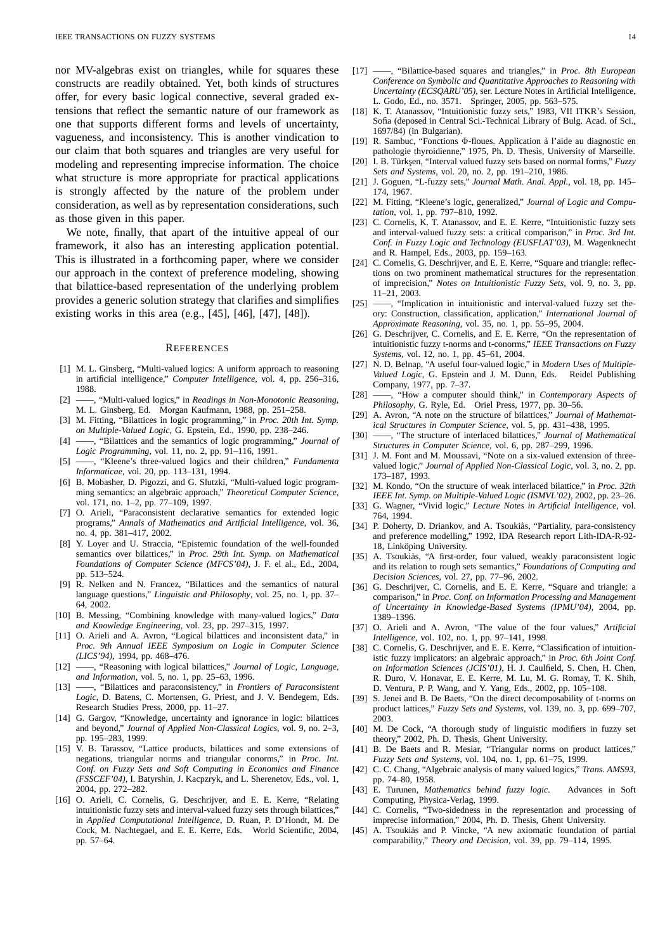nor MV-algebras exist on triangles, while for squares these constructs are readily obtained. Yet, both kinds of structures offer, for every basic logical connective, several graded extensions that reflect the semantic nature of our framework as one that supports different forms and levels of uncertainty, vagueness, and inconsistency. This is another vindication to our claim that both squares and triangles are very useful for modeling and representing imprecise information. The choice what structure is more appropriate for practical applications is strongly affected by the nature of the problem under consideration, as well as by representation considerations, such as those given in this paper.

We note, finally, that apart of the intuitive appeal of our framework, it also has an interesting application potential. This is illustrated in a forthcoming paper, where we consider our approach in the context of preference modeling, showing that bilattice-based representation of the underlying problem provides a generic solution strategy that clarifies and simplifies existing works in this area (e.g., [45], [46], [47], [48]).

#### **REFERENCES**

- [1] M. L. Ginsberg, "Multi-valued logics: A uniform approach to reasoning in artificial intelligence," *Computer Intelligence*, vol. 4, pp. 256–316, 1988.
- [2] ——, "Multi-valued logics," in *Readings in Non-Monotonic Reasoning*, M. L. Ginsberg, Ed. Morgan Kaufmann, 1988, pp. 251–258.
- [3] M. Fitting, "Bilattices in logic programming," in *Proc. 20th Int. Symp. on Multiple-Valued Logic*, G. Epstein, Ed., 1990, pp. 238–246.
- [4] ——, "Bilattices and the semantics of logic programming," *Journal of Logic Programming*, vol. 11, no. 2, pp. 91–116, 1991.
- [5] ——, "Kleene's three-valued logics and their children," *Fundamenta Informaticae*, vol. 20, pp. 113–131, 1994.
- [6] B. Mobasher, D. Pigozzi, and G. Slutzki, "Multi-valued logic programming semantics: an algebraic approach," *Theoretical Computer Science*, vol. 171, no. 1-2, pp. 77-109, 1997.
- [7] O. Arieli, "Paraconsistent declarative semantics for extended logic programs," *Annals of Mathematics and Artificial Intelligence*, vol. 36, no. 4, pp. 381–417, 2002.
- [8] Y. Loyer and U. Straccia, "Epistemic foundation of the well-founded semantics over bilattices," in *Proc. 29th Int. Symp. on Mathematical Foundations of Computer Science (MFCS'04)*, J. F. el al., Ed., 2004, pp. 513–524.
- [9] R. Nelken and N. Francez, "Bilattices and the semantics of natural language questions," *Linguistic and Philosophy*, vol. 25, no. 1, pp. 37– 64, 2002.
- [10] B. Messing, "Combining knowledge with many-valued logics," *Data and Knowledge Engineering*, vol. 23, pp. 297–315, 1997.
- [11] O. Arieli and A. Avron, "Logical bilattices and inconsistent data," in *Proc. 9th Annual IEEE Symposium on Logic in Computer Science (LICS'94)*, 1994, pp. 468–476.
- [12] ——, "Reasoning with logical bilattices," *Journal of Logic, Language, and Information*, vol. 5, no. 1, pp. 25–63, 1996.
- [13] ——, "Bilattices and paraconsistency," in *Frontiers of Paraconsistent Logic*, D. Batens, C. Mortensen, G. Priest, and J. V. Bendegem, Eds. Research Studies Press, 2000, pp. 11–27.
- [14] G. Gargov, "Knowledge, uncertainty and ignorance in logic: bilattices and beyond," *Journal of Applied Non-Classical Logics*, vol. 9, no. 2–3, pp. 195–283, 1999.
- [15] V. B. Tarassov, "Lattice products, bilattices and some extensions of negations, triangular norms and triangular conorms," in *Proc. Int. Conf. on Fuzzy Sets and Soft Computing in Economics and Finance (FSSCEF'04)*, I. Batyrshin, J. Kacpzryk, and L. Sherenetov, Eds., vol. 1, 2004, pp. 272–282.
- [16] O. Arieli, C. Cornelis, G. Deschrijver, and E. E. Kerre, "Relating intuitionistic fuzzy sets and interval-valued fuzzy sets through bilattices, in *Applied Computational Intelligence*, D. Ruan, P. D'Hondt, M. De Cock, M. Nachtegael, and E. E. Kerre, Eds. World Scientific, 2004, pp. 57–64.
- [17] ——, "Bilattice-based squares and triangles," in *Proc. 8th European Conference on Symbolic and Quantitative Approaches to Reasoning with Uncertainty (ECSQARU'05)*, ser. Lecture Notes in Artificial Intelligence, L. Godo, Ed., no. 3571. Springer, 2005, pp. 563–575.
- [18] K. T. Atanassov, "Intuitionistic fuzzy sets," 1983, VII ITKR's Session, Sofia (deposed in Central Sci.-Technical Library of Bulg. Acad. of Sci., 1697/84) (in Bulgarian).
- [19] R. Sambuc, "Fonctions Φ-floues. Application a l'aide au diagnostic en ` pathologie thyroidienne," 1975, Ph. D. Thesis, University of Marseille. [20] I. B. Türkşen, "Interval valued fuzzy sets based on normal forms," Fuzzy
- *Sets and Systems*, vol. 20, no. 2, pp. 191–210, 1986.
- [21] J. Goguen, "L-fuzzy sets," *Journal Math. Anal. Appl.*, vol. 18, pp. 145– 174, 1967.
- [22] M. Fitting, "Kleene's logic, generalized," *Journal of Logic and Computation*, vol. 1, pp. 797–810, 1992.
- [23] C. Cornelis, K. T. Atanassov, and E. E. Kerre, "Intuitionistic fuzzy sets and interval-valued fuzzy sets: a critical comparison," in *Proc. 3rd Int. Conf. in Fuzzy Logic and Technology (EUSFLAT'03)*, M. Wagenknecht and R. Hampel, Eds., 2003, pp. 159–163.
- [24] C. Cornelis, G. Deschrijver, and E. E. Kerre, "Square and triangle: reflections on two prominent mathematical structures for the representation of imprecision," *Notes on Intuitionistic Fuzzy Sets*, vol. 9, no. 3, pp. 11–21, 2003.
- [25] ——, "Implication in intuitionistic and interval-valued fuzzy set theory: Construction, classification, application," *International Journal of Approximate Reasoning*, vol. 35, no. 1, pp. 55–95, 2004.
- [26] G. Deschrijver, C. Cornelis, and E. E. Kerre, "On the representation of intuitionistic fuzzy t-norms and t-conorms," *IEEE Transactions on Fuzzy Systems*, vol. 12, no. 1, pp. 45–61, 2004.
- [27] N. D. Belnap, "A useful four-valued logic," in *Modern Uses of Multiple-Valued Logic*, G. Epstein and J. M. Dunn, Eds. Reidel Publishing Company, 1977, pp. 7–37.
- [28] ——, "How a computer should think," in *Contemporary Aspects of Philosophy*, G. Ryle, Ed. Oriel Press, 1977, pp. 30–56.
- [29] A. Avron, "A note on the structure of bilattices," *Journal of Mathematical Structures in Computer Science*, vol. 5, pp. 431–438, 1995.
- [30] ——, "The structure of interlaced bilattices," *Journal of Mathematical Structures in Computer Science*, vol. 6, pp. 287–299, 1996.
- [31] J. M. Font and M. Moussavi, "Note on a six-valued extension of threevalued logic," *Journal of Applied Non-Classical Logic*, vol. 3, no. 2, pp. 173–187, 1993.
- [32] M. Kondo, "On the structure of weak interlaced bilattice," in *Proc. 32th IEEE Int. Symp. on Multiple-Valued Logic (ISMVL'02)*, 2002, pp. 23–26.
- [33] G. Wagner, "Vivid logic," *Lecture Notes in Artificial Intelligence*, vol. 764, 1994.
- [34] P. Doherty, D. Driankov, and A. Tsoukiàs, "Partiality, para-consistency and preference modelling," 1992, IDA Research report Lith-IDA-R-92- 18, Linköping University.
- [35] A. Tsoukiàs, "A first-order, four valued, weakly paraconsistent logic and its relation to rough sets semantics," *Foundations of Computing and Decision Sciences*, vol. 27, pp. 77–96, 2002.
- [36] G. Deschrijver, C. Cornelis, and E. E. Kerre, "Square and triangle: a comparison," in *Proc. Conf. on Information Processing and Management of Uncertainty in Knowledge-Based Systems (IPMU'04)*, 2004, pp. 1389–1396.
- [37] O. Arieli and A. Avron, "The value of the four values," *Artificial Intelligence*, vol. 102, no. 1, pp. 97–141, 1998.
- [38] C. Cornelis, G. Deschrijver, and E. E. Kerre, "Classification of intuitionistic fuzzy implicators: an algebraic approach," in *Proc. 6th Joint Conf. on Information Sciences (JCIS'01)*, H. J. Caulfield, S. Chen, H. Chen, R. Duro, V. Honavar, E. E. Kerre, M. Lu, M. G. Romay, T. K. Shih, D. Ventura, P. P. Wang, and Y. Yang, Eds., 2002, pp. 105–108.
- [39] S. Jenei and B. De Baets, "On the direct decomposability of t-norms on product lattices," *Fuzzy Sets and Systems*, vol. 139, no. 3, pp. 699–707, 2003.
- [40] M. De Cock, "A thorough study of linguistic modifiers in fuzzy set theory," 2002, Ph. D. Thesis, Ghent University.
- [41] B. De Baets and R. Mesiar, "Triangular norms on product lattices," *Fuzzy Sets and Systems*, vol. 104, no. 1, pp. 61–75, 1999.
- [42] C. C. Chang, "Algebraic analysis of many valued logics," *Trans. AMS93*, pp. 74–80, 1958.
- [43] E. Turunen, *Mathematics behind fuzzy logic*. Advances in Soft Computing, Physica-Verlag, 1999.
- C. Cornelis, "Two-sidedness in the representation and processing of imprecise information," 2004, Ph. D. Thesis, Ghent University.
- [45] A. Tsoukiàs and P. Vincke, "A new axiomatic foundation of partial comparability," *Theory and Decision*, vol. 39, pp. 79–114, 1995.